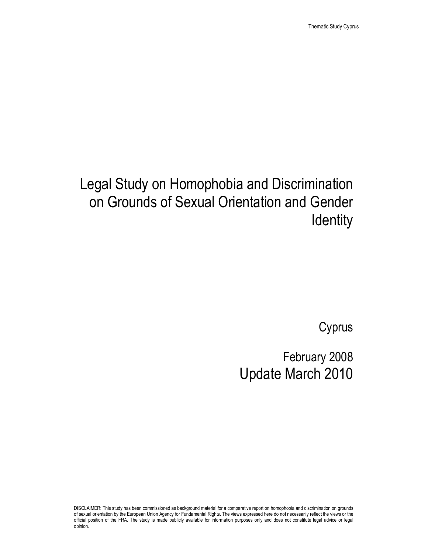# Legal Study on Homophobia and Discrimination on Grounds of Sexual Orientation and Gender **Identity**

Cyprus

# February 2008 Update March 2010

DISCLAIMER: This study has been commissioned as background material for a comparative report on homophobia and discrimination on grounds of sexual orientation by the European Union Agency for Fundamental Rights. The views expressed here do not necessarily reflect the views or the official position of the FRA. The study is made publicly available for information purposes only and does not constitute legal advice or legal opinion.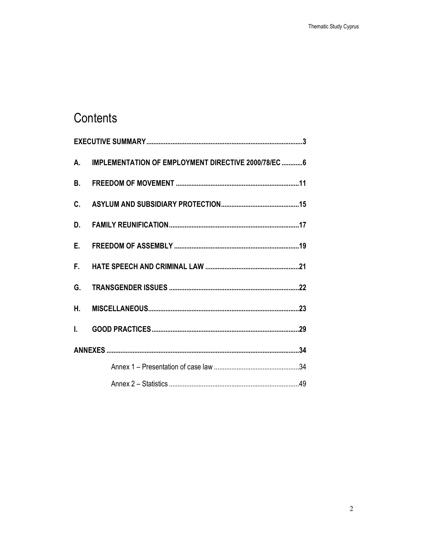## Contents

|    | A. IMPLEMENTATION OF EMPLOYMENT DIRECTIVE 2000/78/EC6 |  |
|----|-------------------------------------------------------|--|
|    |                                                       |  |
|    |                                                       |  |
| D. |                                                       |  |
| E. |                                                       |  |
| F. |                                                       |  |
| G. |                                                       |  |
| Η. |                                                       |  |
|    |                                                       |  |
|    |                                                       |  |
|    |                                                       |  |
|    |                                                       |  |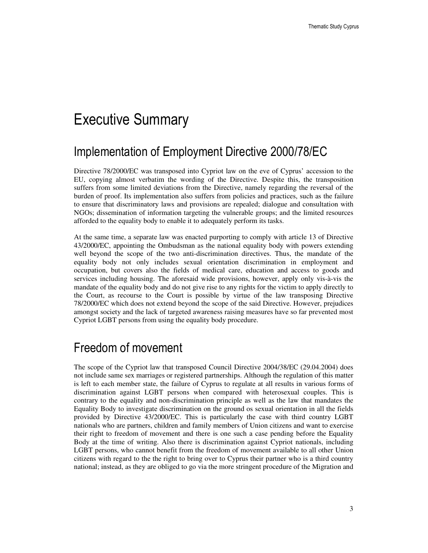# Executive Summary

## Implementation of Employment Directive 2000/78/EC

Directive 78/2000/EC was transposed into Cypriot law on the eve of Cyprus' accession to the EU, copying almost verbatim the wording of the Directive. Despite this, the transposition suffers from some limited deviations from the Directive, namely regarding the reversal of the burden of proof. Its implementation also suffers from policies and practices, such as the failure to ensure that discriminatory laws and provisions are repealed; dialogue and consultation with NGOs; dissemination of information targeting the vulnerable groups; and the limited resources afforded to the equality body to enable it to adequately perform its tasks.

At the same time, a separate law was enacted purporting to comply with article 13 of Directive 43/2000/EC, appointing the Ombudsman as the national equality body with powers extending well beyond the scope of the two anti-discrimination directives. Thus, the mandate of the equality body not only includes sexual orientation discrimination in employment and occupation, but covers also the fields of medical care, education and access to goods and services including housing. The aforesaid wide provisions, however, apply only vis-à-vis the mandate of the equality body and do not give rise to any rights for the victim to apply directly to the Court, as recourse to the Court is possible by virtue of the law transposing Directive 78/2000/EC which does not extend beyond the scope of the said Directive. However, prejudices amongst society and the lack of targeted awareness raising measures have so far prevented most Cypriot LGBT persons from using the equality body procedure.

## Freedom of movement

The scope of the Cypriot law that transposed Council Directive 2004/38/EC (29.04.2004) does not include same sex marriages or registered partnerships. Although the regulation of this matter is left to each member state, the failure of Cyprus to regulate at all results in various forms of discrimination against LGBT persons when compared with heterosexual couples. This is contrary to the equality and non-discrimination principle as well as the law that mandates the Equality Body to investigate discrimination on the ground os sexual orientation in all the fields provided by Directive 43/2000/EC. This is particularly the case with third country LGBT nationals who are partners, children and family members of Union citizens and want to exercise their right to freedom of movement and there is one such a case pending before the Equality Body at the time of writing. Also there is discrimination against Cypriot nationals, including LGBT persons, who cannot benefit from the freedom of movement available to all other Union citizens with regard to the the right to bring over to Cyprus their partner who is a third country national; instead, as they are obliged to go via the more stringent procedure of the Migration and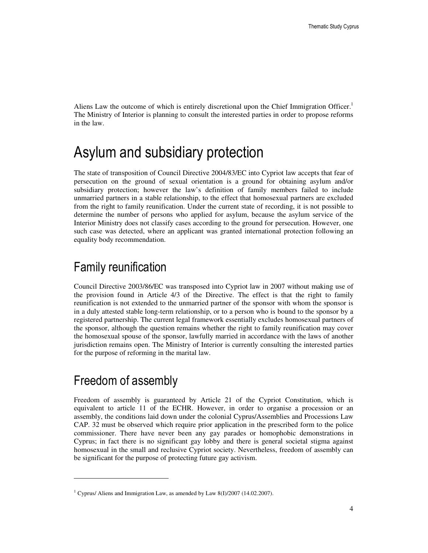Aliens Law the outcome of which is entirely discretional upon the Chief Immigration Officer.<sup>1</sup> The Ministry of Interior is planning to consult the interested parties in order to propose reforms in the law.

# Asylum and subsidiary protection

The state of transposition of Council Directive 2004/83/EC into Cypriot law accepts that fear of persecution on the ground of sexual orientation is a ground for obtaining asylum and/or subsidiary protection; however the law's definition of family members failed to include unmarried partners in a stable relationship, to the effect that homosexual partners are excluded from the right to family reunification. Under the current state of recording, it is not possible to determine the number of persons who applied for asylum, because the asylum service of the Interior Ministry does not classify cases according to the ground for persecution. However, one such case was detected, where an applicant was granted international protection following an equality body recommendation.

## Family reunification

Council Directive 2003/86/EC was transposed into Cypriot law in 2007 without making use of the provision found in Article 4/3 of the Directive. The effect is that the right to family reunification is not extended to the unmarried partner of the sponsor with whom the sponsor is in a duly attested stable long-term relationship, or to a person who is bound to the sponsor by a registered partnership. The current legal framework essentially excludes homosexual partners of the sponsor, although the question remains whether the right to family reunification may cover the homosexual spouse of the sponsor, lawfully married in accordance with the laws of another jurisdiction remains open. The Ministry of Interior is currently consulting the interested parties for the purpose of reforming in the marital law.

## Freedom of assembly

 $\ddot{ }$ 

Freedom of assembly is guaranteed by Article 21 of the Cypriot Constitution, which is equivalent to article 11 of the ECHR. However, in order to organise a procession or an assembly, the conditions laid down under the colonial Cyprus/Assemblies and Processions Law CAP. 32 must be observed which require prior application in the prescribed form to the police commissioner. There have never been any gay parades or homophobic demonstrations in Cyprus; in fact there is no significant gay lobby and there is general societal stigma against homosexual in the small and reclusive Cypriot society. Nevertheless, freedom of assembly can be significant for the purpose of protecting future gay activism.

<sup>&</sup>lt;sup>1</sup> Cyprus/ Aliens and Immigration Law, as amended by Law 8(I)/2007 (14.02.2007).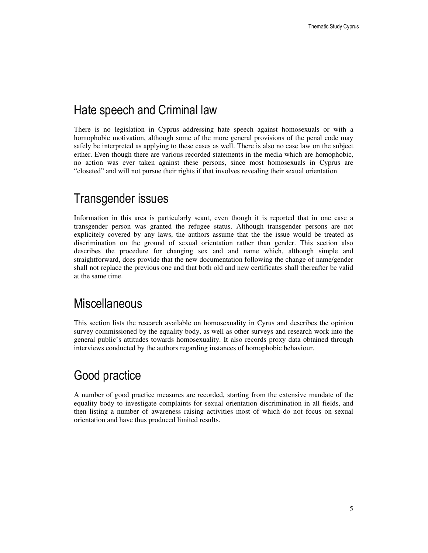## Hate speech and Criminal law

There is no legislation in Cyprus addressing hate speech against homosexuals or with a homophobic motivation, although some of the more general provisions of the penal code may safely be interpreted as applying to these cases as well. There is also no case law on the subject either. Even though there are various recorded statements in the media which are homophobic, no action was ever taken against these persons, since most homosexuals in Cyprus are "closeted" and will not pursue their rights if that involves revealing their sexual orientation

## Transgender issues

Information in this area is particularly scant, even though it is reported that in one case a transgender person was granted the refugee status. Although transgender persons are not explicitely covered by any laws, the authors assume that the the issue would be treated as discrimination on the ground of sexual orientation rather than gender. This section also describes the procedure for changing sex and and name which, although simple and straightforward, does provide that the new documentation following the change of name/gender shall not replace the previous one and that both old and new certificates shall thereafter be valid at the same time.

### **Miscellaneous**

This section lists the research available on homosexuality in Cyrus and describes the opinion survey commissioned by the equality body, as well as other surveys and research work into the general public's attitudes towards homosexuality. It also records proxy data obtained through interviews conducted by the authors regarding instances of homophobic behaviour.

## Good practice

A number of good practice measures are recorded, starting from the extensive mandate of the equality body to investigate complaints for sexual orientation discrimination in all fields, and then listing a number of awareness raising activities most of which do not focus on sexual orientation and have thus produced limited results.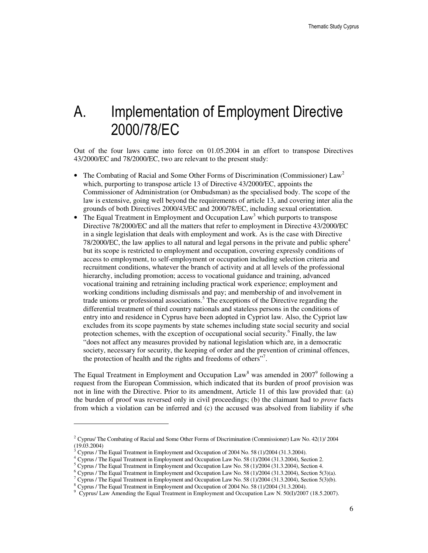# A. Implementation of Employment Directive 2000/78/EC

Out of the four laws came into force on 01.05.2004 in an effort to transpose Directives 43/2000/EC and 78/2000/EC, two are relevant to the present study:

- The Combating of Racial and Some Other Forms of Discrimination (Commissioner)  $Law^2$ which, purporting to transpose article 13 of Directive 43/2000/EC, appoints the Commissioner of Administration (or Ombudsman) as the specialised body. The scope of the law is extensive, going well beyond the requirements of article 13, and covering inter alia the grounds of both Directives 2000/43/EC and 2000/78/EC, including sexual orientation.
- The Equal Treatment in Employment and Occupation  $Law<sup>3</sup>$  which purports to transpose Directive 78/2000/EC and all the matters that refer to employment in Directive 43/2000/EC in a single legislation that deals with employment and work. As is the case with Directive 78/2000/EC, the law applies to all natural and legal persons in the private and public sphere<sup>4</sup> but its scope is restricted to employment and occupation, covering expressly conditions of access to employment, to self-employment or occupation including selection criteria and recruitment conditions, whatever the branch of activity and at all levels of the professional hierarchy, including promotion; access to vocational guidance and training, advanced vocational training and retraining including practical work experience; employment and working conditions including dismissals and pay; and membership of and involvement in trade unions or professional associations.<sup>5</sup> The exceptions of the Directive regarding the differential treatment of third country nationals and stateless persons in the conditions of entry into and residence in Cyprus have been adopted in Cypriot law. Also, the Cypriot law excludes from its scope payments by state schemes including state social security and social protection schemes, with the exception of occupational social security.<sup>6</sup> Finally, the law "does not affect any measures provided by national legislation which are, in a democratic society, necessary for security, the keeping of order and the prevention of criminal offences, the protection of health and the rights and freedoms of others"<sup>7</sup>.

The Equal Treatment in Employment and Occupation Law<sup>8</sup> was amended in  $2007^9$  following a request from the European Commission, which indicated that its burden of proof provision was not in line with the Directive. Prior to its amendment, Article 11 of this law provided that: (a) the burden of proof was reversed only in civil proceedings; (b) the claimant had to *prove* facts from which a violation can be inferred and (c) the accused was absolved from liability if s/he

<sup>&</sup>lt;sup>2</sup> Cyprus/ The Combating of Racial and Some Other Forms of Discrimination (Commissioner) Law No. 42(1)/ 2004 (19.03.2004)

<sup>3</sup> Cyprus / The Equal Treatment in Employment and Occupation of 2004 No. 58 (1)/2004 (31.3.2004).

<sup>4</sup> Cyprus / The Equal Treatment in Employment and Occupation Law No. 58 (1)/2004 (31.3.2004), Section 2.

<sup>&</sup>lt;sup>5</sup> Cyprus / The Equal Treatment in Employment and Occupation Law No. 58 (1)/2004 (31.3.2004), Section 4.

<sup>&</sup>lt;sup>6</sup> Cyprus / The Equal Treatment in Employment and Occupation Law No. 58 (1)/2004 (31.3.2004), Section 5(3)(a).

<sup>&</sup>lt;sup>7</sup> Cyprus / The Equal Treatment in Employment and Occupation Law No. 58 (1)/2004 (31.3.2004), Section 5(3)(b).

<sup>&</sup>lt;sup>8</sup> Cyprus / The Equal Treatment in Employment and Occupation of 2004 No. 58 (1)/2004 (31.3.2004).

<sup>9</sup> Cyprus/ Law Amending the Equal Treatment in Employment and Occupation Law N. 50(I)/2007 (18.5.2007).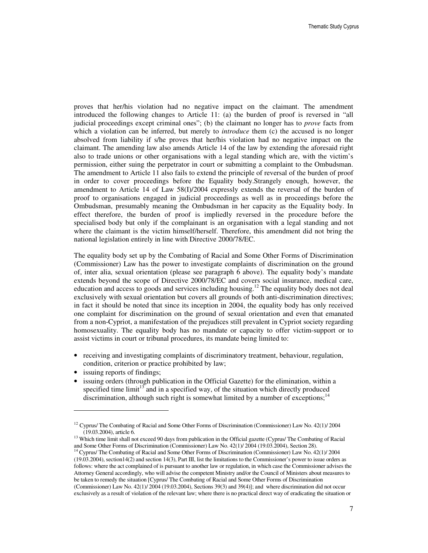proves that her/his violation had no negative impact on the claimant. The amendment introduced the following changes to Article 11: (a) the burden of proof is reversed in "all judicial proceedings except criminal ones"; (b) the claimant no longer has to *prove* facts from which a violation can be inferred, but merely to *introduce* them (c) the accused is no longer absolved from liability if s/he proves that her/his violation had no negative impact on the claimant. The amending law also amends Article 14 of the law by extending the aforesaid right also to trade unions or other organisations with a legal standing which are, with the victim's permission, either suing the perpetrator in court or submitting a complaint to the Ombudsman. The amendment to Article 11 also fails to extend the principle of reversal of the burden of proof in order to cover proceedings before the Equality body.Strangely enough, however, the amendment to Article 14 of Law 58(I)/2004 expressly extends the reversal of the burden of proof to organisations engaged in judicial proceedings as well as in proceedings before the Ombudsman, presumably meaning the Ombudsman in her capacity as the Equality body. In effect therefore, the burden of proof is impliedly reversed in the procedure before the specialised body but only if the complainant is an organisation with a legal standing and not where the claimant is the victim himself/herself. Therefore, this amendment did not bring the national legislation entirely in line with Directive 2000/78/EC.

The equality body set up by the Combating of Racial and Some Other Forms of Discrimination (Commissioner) Law has the power to investigate complaints of discrimination on the ground of, inter alia, sexual orientation (please see paragraph 6 above). The equality body's mandate extends beyond the scope of Directive 2000/78/EC and covers social insurance, medical care, education and access to goods and services including housing.<sup>12</sup> The equality body does not deal exclusively with sexual orientation but covers all grounds of both anti-discrimination directives; in fact it should be noted that since its inception in 2004, the equality body has only received one complaint for discrimination on the ground of sexual orientation and even that emanated from a non-Cypriot, a manifestation of the prejudices still prevalent in Cypriot society regarding homosexuality. The equality body has no mandate or capacity to offer victim-support or to assist victims in court or tribunal procedures, its mandate being limited to:

- receiving and investigating complaints of discriminatory treatment, behaviour, regulation, condition, criterion or practice prohibited by law;
- issuing reports of findings;

 $\ddot{ }$ 

issuing orders (through publication in the Official Gazette) for the elimination, within a specified time  $\lim_{t \to 3}$  and in a specified way, of the situation which directly produced discrimination, although such right is somewhat limited by a number of exceptions;<sup>14</sup>

<sup>&</sup>lt;sup>12</sup> Cyprus/ The Combating of Racial and Some Other Forms of Discrimination (Commissioner) Law No.  $42(1)/2004$ (19.03.2004), article 6.

<sup>&</sup>lt;sup>13</sup> Which time limit shall not exceed 90 days from publication in the Official gazette (Cyprus/ The Combating of Racial and Some Other Forms of Discrimination (Commissioner) Law No. 42(1)/ 2004 (19.03.2004), Section 28).

<sup>&</sup>lt;sup>14</sup> Cyprus/ The Combating of Racial and Some Other Forms of Discrimination (Commissioner) Law No. 42(1)/ 2004 (19.03.2004), section14(2) and section 14(3), Part III, list the limitations to the Commissioner's power to issue orders as follows: where the act complained of is pursuant to another law or regulation, in which case the Commissioner advises the Attorney General accordingly, who will advise the competent Ministry and/or the Council of Ministers about measures to be taken to remedy the situation [Cyprus/ The Combating of Racial and Some Other Forms of Discrimination (Commissioner) Law No. 42(1)/ 2004 (19.03.2004), Sections 39(3) and 39(4)]; and where discrimination did not occur exclusively as a result of violation of the relevant law; where there is no practical direct way of eradicating the situation or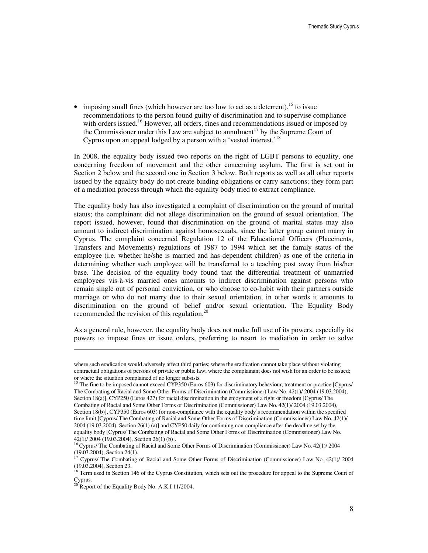• imposing small fines (which however are too low to act as a deterrent),  $^{15}$  to issue recommendations to the person found guilty of discrimination and to supervise compliance with orders issued.<sup>16</sup> However, all orders, fines and recommendations issued or imposed by the Commissioner under this Law are subject to annulment<sup>17</sup> by the Supreme Court of Cyprus upon an appeal lodged by a person with a 'vested interest.'<sup>18</sup>

In 2008, the equality body issued two reports on the right of LGBT persons to equality, one concerning freedom of movement and the other concerning asylum. The first is set out in Section 2 below and the second one in Section 3 below. Both reports as well as all other reports issued by the equality body do not create binding obligations or carry sanctions; they form part of a mediation process through which the equality body tried to extract compliance.

The equality body has also investigated a complaint of discrimination on the ground of marital status; the complainant did not allege discrimination on the ground of sexual orientation. The report issued, however, found that discrimination on the ground of marital status may also amount to indirect discrimination against homosexuals, since the latter group cannot marry in Cyprus. The complaint concerned Regulation 12 of the Educational Officers (Placements, Transfers and Movements) regulations of 1987 to 1994 which set the family status of the employee (i.e. whether he/she is married and has dependent children) as one of the criteria in determining whether such employee will be transferred to a teaching post away from his/her base. The decision of the equality body found that the differential treatment of unmarried employees vis-à-vis married ones amounts to indirect discrimination against persons who remain single out of personal conviction, or who choose to co-habit with their partners outside marriage or who do not marry due to their sexual orientation, in other words it amounts to discrimination on the ground of belief and/or sexual orientation. The Equality Body recommended the revision of this regulation.<sup>2</sup>

As a general rule, however, the equality body does not make full use of its powers, especially its powers to impose fines or issue orders, preferring to resort to mediation in order to solve

where such eradication would adversely affect third parties; where the eradication cannot take place without violating contractual obligations of persons of private or public law; where the complainant does not wish for an order to be issued; or where the situation complained of no longer subsists.

<sup>&</sup>lt;sup>15</sup> The fine to be imposed cannot exceed CYP350 (Euros 603) for discriminatory behaviour, treatment or practice [Cyprus/ The Combating of Racial and Some Other Forms of Discrimination (Commissioner) Law No. 42(1)/ 2004 (19.03.2004), Section 18(a)], CYP250 (Euros 427) for racial discrimination in the enjoyment of a right or freedom [Cyprus/ The Combating of Racial and Some Other Forms of Discrimination (Commissioner) Law No. 42(1)/ 2004 (19.03.2004), Section 18(b)], CYP350 (Euros 603) for non-compliance with the equality body's recommendation within the specified time limit [Cyprus/ The Combating of Racial and Some Other Forms of Discrimination (Commissioner) Law No. 42(1)/ 2004 (19.03.2004), Section 26(1) (a)] and CYP50 daily for continuing non-compliance after the deadline set by the equality body [Cyprus/ The Combating of Racial and Some Other Forms of Discrimination (Commissioner) Law No. 42(1)/ 2004 (19.03.2004), Section 26(1) (b)].

<sup>&</sup>lt;sup>16</sup> Cyprus/ The Combating of Racial and Some Other Forms of Discrimination (Commissioner) Law No. 42(1)/ 2004 (19.03.2004), Section 24(1).

<sup>&</sup>lt;sup>17</sup> Cyprus/ The Combating of Racial and Some Other Forms of Discrimination (Commissioner) Law No. 42(1)/ 2004 (19.03.2004), Section 23.

<sup>&</sup>lt;sup>18</sup> Term used in Section 146 of the Cyprus Constitution, which sets out the procedure for appeal to the Supreme Court of Cyprus.

 $^{20}$  Report of the Equality Body No. A.K.I 11/2004.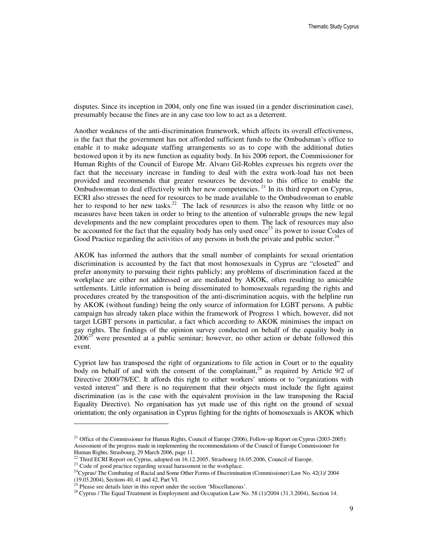disputes. Since its inception in 2004, only one fine was issued (in a gender discrimination case), presumably because the fines are in any case too low to act as a deterrent.

Another weakness of the anti-discrimination framework, which affects its overall effectiveness, is the fact that the government has not afforded sufficient funds to the Ombudsman's office to enable it to make adequate staffing arrangements so as to cope with the additional duties bestowed upon it by its new function as equality body. In his 2006 report, the Commissioner for Human Rights of the Council of Europe Mr. Alvaro Gil-Robles expresses his regrets over the fact that the necessary increase in funding to deal with the extra work-load has not been provided and recommends that greater resources be devoted to this office to enable the Ombudswoman to deal effectively with her new competencies.<sup>21</sup> In its third report on Cyprus, ECRI also stresses the need for resources to be made available to the Ombudswoman to enable her to respond to her new tasks.<sup>22</sup> The lack of resources is also the reason why little or no measures have been taken in order to bring to the attention of vulnerable groups the new legal developments and the new complaint procedures open to them. The lack of resources may also be accounted for the fact that the equality body has only used once<sup>23</sup> its power to issue Codes of Good Practice regarding the activities of any persons in both the private and public sector. $24$ 

AKOK has informed the authors that the small number of complaints for sexual orientation discrimination is accounted by the fact that most homosexuals in Cyprus are "closeted" and prefer anonymity to pursuing their rights publicly; any problems of discrimination faced at the workplace are either not addressed or are mediated by AKOK, often resulting to amicable settlements. Little information is being disseminated to homosexuals regarding the rights and procedures created by the transposition of the anti-discrimination acquis, with the helpline run by AKOK (without funding) being the only source of information for LGBT persons. A public campaign has already taken place within the framework of Progress 1 which, however, did not target LGBT persons in particular, a fact which according to AKOK minimises the impact on gay rights. The findings of the opinion survey conducted on behalf of the equality body in  $2006^{25}$  were presented at a public seminar; however, no other action or debate followed this event.

Cypriot law has transposed the right of organizations to file action in Court or to the equality body on behalf of and with the consent of the complainant,<sup>26</sup> as required by Article  $9/2$  of Directive 2000/78/EC. It affords this right to either workers' unions or to "organizations with vested interest" and there is no requirement that their objects must include the fight against discrimination (as is the case with the equivalent provision in the law transposing the Racial Equality Directive). No organisation has yet made use of this right on the ground of sexual orientation; the only organisation in Cyprus fighting for the rights of homosexuals is AKOK which

<sup>&</sup>lt;sup>21</sup> Office of the Commissioner for Human Rights, Council of Europe (2006), Follow-up Report on Cyprus (2003-2005): Assessment of the progress made in implementing the recommendations of the Council of Europe Commissioner for Human Rights, Strasbourg, 29 March 2006, page 11.

 $^{22}$  Third ECRI Report on Cyprus, adopted on 16.12.2005, Strasbourg 16.05.2006, Council of Europe.

<sup>&</sup>lt;sup>23</sup> Code of good practice regarding sexual harassment in the workplace.

<sup>&</sup>lt;sup>24</sup>Cyprus/ The Combating of Racial and Some Other Forms of Discrimination (Commissioner) Law No. 42(1)/ 2004 (19.03.2004), Sections 40, 41 and 42, Part VI.

<sup>&</sup>lt;sup>25</sup> Please see details later in this report under the section 'Miscellaneous'.

<sup>&</sup>lt;sup>26</sup> Cyprus / The Equal Treatment in Employment and Occupation Law No. 58 (1)/2004 (31.3.2004), Section 14.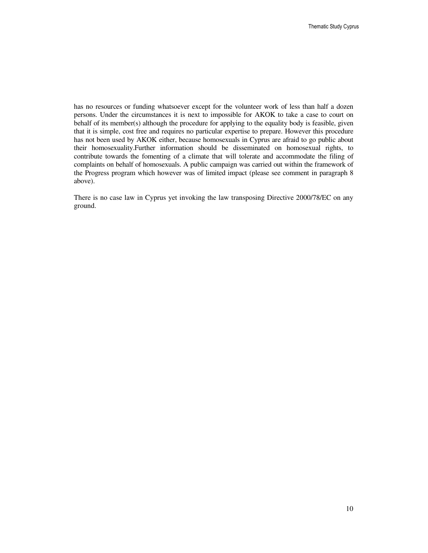has no resources or funding whatsoever except for the volunteer work of less than half a dozen persons. Under the circumstances it is next to impossible for AKOK to take a case to court on behalf of its member(s) although the procedure for applying to the equality body is feasible, given that it is simple, cost free and requires no particular expertise to prepare. However this procedure has not been used by AKOK either, because homosexuals in Cyprus are afraid to go public about their homosexuality.Further information should be disseminated on homosexual rights, to contribute towards the fomenting of a climate that will tolerate and accommodate the filing of complaints on behalf of homosexuals. A public campaign was carried out within the framework of the Progress program which however was of limited impact (please see comment in paragraph 8 above).

There is no case law in Cyprus yet invoking the law transposing Directive 2000/78/EC on any ground.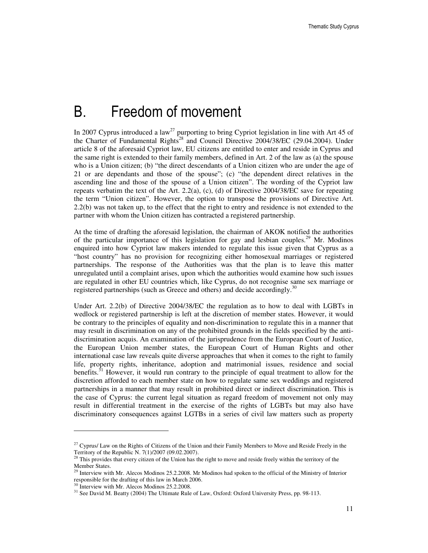# B. Freedom of movement

In 2007 Cyprus introduced a law<sup>27</sup> purporting to bring Cypriot legislation in line with Art 45 of the Charter of Fundamental Rights<sup>28</sup> and Council Directive 2004/38/EC (29.04.2004). Under article 8 of the aforesaid Cypriot law, EU citizens are entitled to enter and reside in Cyprus and the same right is extended to their family members, defined in Art. 2 of the law as (a) the spouse who is a Union citizen; (b) "the direct descendants of a Union citizen who are under the age of 21 or are dependants and those of the spouse"; (c) "the dependent direct relatives in the ascending line and those of the spouse of a Union citizen". The wording of the Cypriot law repeats verbatim the text of the Art. 2.2(a), (c), (d) of Directive 2004/38/EC save for repeating the term "Union citizen". However, the option to transpose the provisions of Directive Art. 2.2(b) was not taken up, to the effect that the right to entry and residence is not extended to the partner with whom the Union citizen has contracted a registered partnership.

At the time of drafting the aforesaid legislation, the chairman of AKOK notified the authorities of the particular importance of this legislation for gay and lesbian couples.<sup>29</sup> Mr. Modinos enquired into how Cypriot law makers intended to regulate this issue given that Cyprus as a "host country" has no provision for recognizing either homosexual marriages or registered partnerships. The response of the Authorities was that the plan is to leave this matter unregulated until a complaint arises, upon which the authorities would examine how such issues are regulated in other EU countries which, like Cyprus, do not recognise same sex marriage or registered partnerships (such as Greece and others) and decide accordingly.<sup>30</sup>

Under Art. 2.2(b) of Directive 2004/38/EC the regulation as to how to deal with LGBTs in wedlock or registered partnership is left at the discretion of member states. However, it would be contrary to the principles of equality and non-discrimination to regulate this in a manner that may result in discrimination on any of the prohibited grounds in the fields specified by the antidiscrimination acquis. An examination of the jurisprudence from the European Court of Justice, the European Union member states, the European Court of Human Rights and other international case law reveals quite diverse approaches that when it comes to the right to family life, property rights, inheritance, adoption and matrimonial issues, residence and social benefits.<sup>31</sup> However, it would run contrary to the principle of equal treatment to allow for the discretion afforded to each member state on how to regulate same sex weddings and registered partnerships in a manner that may result in prohibited direct or indirect discrimination. This is the case of Cyprus: the current legal situation as regard freedom of movement not only may result in differential treatment in the exercise of the rights of LGBTs but may also have discriminatory consequences against LGTBs in a series of civil law matters such as property

<sup>&</sup>lt;sup>27</sup> Cyprus/ Law on the Rights of Citizens of the Union and their Family Members to Move and Reside Freely in the Territory of the Republic N. 7(1)/2007 (09.02.2007).

<sup>&</sup>lt;sup>28</sup> This provides that every citizen of the Union has the right to move and reside freely within the territory of the Member States.

<sup>&</sup>lt;sup>29</sup> Interview with Mr. Alecos Modinos 25.2.2008. Mr Modinos had spoken to the official of the Ministry of Interior responsible for the drafting of this law in March 2006.

<sup>&</sup>lt;sup>30</sup> Interview with Mr. Alecos Modinos 25.2.2008.

<sup>&</sup>lt;sup>31</sup> See David M. Beatty (2004) The Ultimate Rule of Law, Oxford: Oxford University Press, pp. 98-113.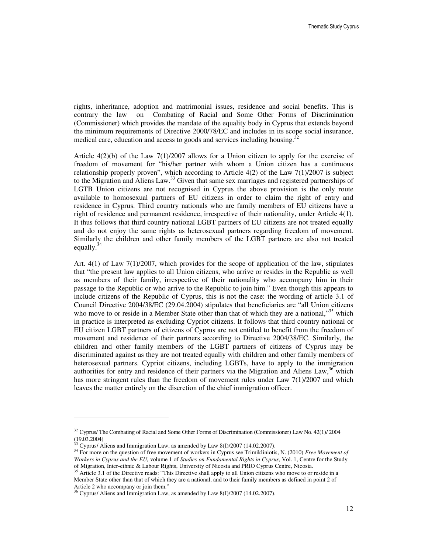rights, inheritance, adoption and matrimonial issues, residence and social benefits. This is contrary the law on Combating of Racial and Some Other Forms of Discrimination (Commissioner) which provides the mandate of the equality body in Cyprus that extends beyond the minimum requirements of Directive 2000/78/EC and includes in its scope social insurance, medical care, education and access to goods and services including housing.<sup>3</sup>

Article  $4(2)(b)$  of the Law  $7(1)/2007$  allows for a Union citizen to apply for the exercise of freedom of movement for "his/her partner with whom a Union citizen has a continuous relationship properly proven", which according to Article 4(2) of the Law 7(1)/2007 is subject to the Migration and Aliens Law.<sup>33</sup> Given that same sex marriages and registered partnerships of LGTB Union citizens are not recognised in Cyprus the above provision is the only route available to homosexual partners of EU citizens in order to claim the right of entry and residence in Cyprus. Third country nationals who are family members of EU citizens have a right of residence and permanent residence, irrespective of their nationality, under Article 4(1). It thus follows that third country national LGBT partners of EU citizens are not treated equally and do not enjoy the same rights as heterosexual partners regarding freedom of movement. Similarly the children and other family members of the LGBT partners are also not treated equally. $3^3$ 

Art. 4(1) of Law 7(1)/2007, which provides for the scope of application of the law, stipulates that "the present law applies to all Union citizens, who arrive or resides in the Republic as well as members of their family, irrespective of their nationality who accompany him in their passage to the Republic or who arrive to the Republic to join him." Even though this appears to include citizens of the Republic of Cyprus, this is not the case: the wording of article 3.1 of Council Directive 2004/38/EC (29.04.2004) stipulates that beneficiaries are "all Union citizens who move to or reside in a Member State other than that of which they are a national,"<sup>35</sup> which in practice is interpreted as excluding Cypriot citizens. It follows that third country national or EU citizen LGBT partners of citizens of Cyprus are not entitled to benefit from the freedom of movement and residence of their partners according to Directive 2004/38/EC. Similarly, the children and other family members of the LGBT partners of citizens of Cyprus may be discriminated against as they are not treated equally with children and other family members of heterosexual partners. Cypriot citizens, including LGBTs, have to apply to the immigration authorities for entry and residence of their partners via the Migration and Aliens Law, $36$  which has more stringent rules than the freedom of movement rules under Law 7(1)/2007 and which leaves the matter entirely on the discretion of the chief immigration officer.

 $32$  Cyprus/ The Combating of Racial and Some Other Forms of Discrimination (Commissioner) Law No. 42(1)/ 2004 (19.03.2004)

 $33$  Cyprus/ Aliens and Immigration Law, as amended by Law 8(I)/2007 (14.02.2007).

<sup>34</sup> For more on the question of free movement of workers in Cyprus see Trimikliniotis, N. (2010) *Free Movement of Workers in Cyprus and the EU,* volume 1 of *Studies on Fundamental Rights in Cyprus,* Vol. 1, Centre for the Study of Migration, Inter-ethnic & Labour Rights, University of Nicosia and PRIO Cyprus Centre, Nicosia.

<sup>&</sup>lt;sup>35</sup> Article 3.1 of the Directive reads: "This Directive shall apply to all Union citizens who move to or reside in a Member State other than that of which they are a national, and to their family members as defined in point 2 of Article 2 who accompany or join them."

<sup>36</sup> Cyprus/ Aliens and Immigration Law, as amended by Law 8(I)/2007 (14.02.2007).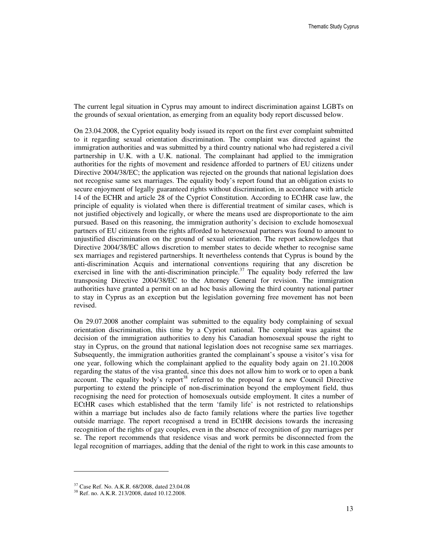The current legal situation in Cyprus may amount to indirect discrimination against LGBTs on the grounds of sexual orientation, as emerging from an equality body report discussed below.

On 23.04.2008, the Cypriot equality body issued its report on the first ever complaint submitted to it regarding sexual orientation discrimination. The complaint was directed against the immigration authorities and was submitted by a third country national who had registered a civil partnership in U.K. with a U.K. national. The complainant had applied to the immigration authorities for the rights of movement and residence afforded to partners of EU citizens under Directive 2004/38/EC; the application was rejected on the grounds that national legislation does not recognise same sex marriages. The equality body's report found that an obligation exists to secure enjoyment of legally guaranteed rights without discrimination, in accordance with article 14 of the ECHR and article 28 of the Cypriot Constitution. According to ECtHR case law, the principle of equality is violated when there is differential treatment of similar cases, which is not justified objectively and logically, or where the means used are disproportionate to the aim pursued. Based on this reasoning, the immigration authority's decision to exclude homosexual partners of EU citizens from the rights afforded to heterosexual partners was found to amount to unjustified discrimination on the ground of sexual orientation. The report acknowledges that Directive 2004/38/EC allows discretion to member states to decide whether to recognise same sex marriages and registered partnerships. It nevertheless contends that Cyprus is bound by the anti-discrimination Acquis and international conventions requiring that any discretion be exercised in line with the anti-discrimination principle.<sup>37</sup> The equality body referred the law transposing Directive 2004/38/EC to the Attorney General for revision. The immigration authorities have granted a permit on an ad hoc basis allowing the third country national partner to stay in Cyprus as an exception but the legislation governing free movement has not been revised.

On 29.07.2008 another complaint was submitted to the equality body complaining of sexual orientation discrimination, this time by a Cypriot national. The complaint was against the decision of the immigration authorities to deny his Canadian homosexual spouse the right to stay in Cyprus, on the ground that national legislation does not recognise same sex marriages. Subsequently, the immigration authorities granted the complainant's spouse a visitor's visa for one year, following which the complainant applied to the equality body again on 21.10.2008 regarding the status of the visa granted, since this does not allow him to work or to open a bank account. The equality body's report<sup>38</sup> referred to the proposal for a new Council Directive purporting to extend the principle of non-discrimination beyond the employment field, thus recognising the need for protection of homosexuals outside employment. It cites a number of ECtHR cases which established that the term 'family life' is not restricted to relationships within a marriage but includes also de facto family relations where the parties live together outside marriage. The report recognised a trend in ECtHR decisions towards the increasing recognition of the rights of gay couples, even in the absence of recognition of gay marriages per se. The report recommends that residence visas and work permits be disconnected from the legal recognition of marriages, adding that the denial of the right to work in this case amounts to

<sup>37</sup> Case Ref. No. A.K.R. 68/2008, dated 23.04.08

<sup>38</sup> Ref. no. A.K.R. 213/2008, dated 10.12.2008.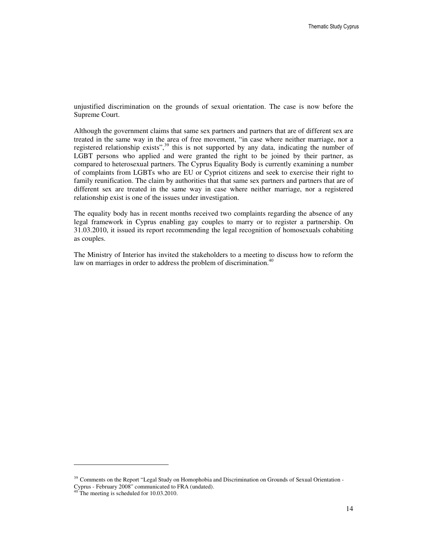unjustified discrimination on the grounds of sexual orientation. The case is now before the Supreme Court.

Although the government claims that same sex partners and partners that are of different sex are treated in the same way in the area of free movement, "in case where neither marriage, nor a registered relationship exists",<sup>39</sup> this is not supported by any data, indicating the number of LGBT persons who applied and were granted the right to be joined by their partner, as compared to heterosexual partners. The Cyprus Equality Body is currently examining a number of complaints from LGBTs who are EU or Cypriot citizens and seek to exercise their right to family reunification. The claim by authorities that that same sex partners and partners that are of different sex are treated in the same way in case where neither marriage, nor a registered relationship exist is one of the issues under investigation.

The equality body has in recent months received two complaints regarding the absence of any legal framework in Cyprus enabling gay couples to marry or to register a partnership. On 31.03.2010, it issued its report recommending the legal recognition of homosexuals cohabiting as couples.

The Ministry of Interior has invited the stakeholders to a meeting to discuss how to reform the law on marriages in order to address the problem of discrimination.<sup>4</sup>

<sup>&</sup>lt;sup>39</sup> Comments on the Report "Legal Study on Homophobia and Discrimination on Grounds of Sexual Orientation -Cyprus - February 2008" communicated to FRA (undated).

<sup>&</sup>lt;sup>40</sup> The meeting is scheduled for 10.03.2010.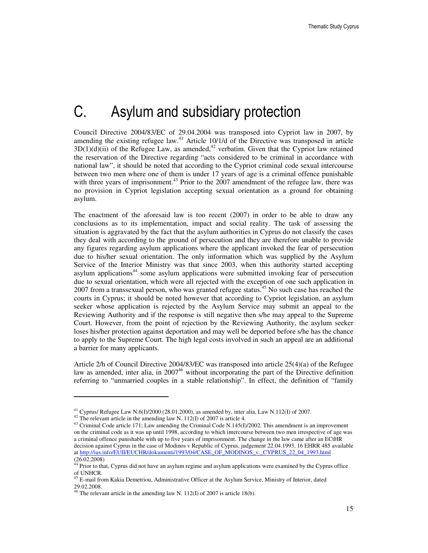# C. Asylum and subsidiary protection

Council Directive 2004/83/EC of 29.04.2004 was transposed into Cypriot law in 2007, by amending the existing refugee law.<sup>41</sup> Article 10/1/d of the Directive was transposed in article  $3D(1)(d)(ii)$  of the Refugee Law, as amended,<sup>42</sup> verbatim. Given that the Cypriot law retained the reservation of the Directive regarding "acts considered to be criminal in accordance with national law", it should be noted that according to the Cypriot criminal code sexual intercourse between two men where one of them is under 17 years of age is a criminal offence punishable with three years of imprisonment.<sup>43</sup> Prior to the 2007 amendment of the refugee law, there was no provision in Cypriot legislation accepting sexual orientation as a ground for obtaining asylum.

The enactment of the aforesaid law is too recent (2007) in order to be able to draw any conclusions as to its implementation, impact and social reality. The task of assessing the situation is aggravated by the fact that the asylum authorities in Cyprus do not classify the cases they deal with according to the ground of persecution and they are therefore unable to provide any figures regarding asylum applications where the applicant invoked the fear of persecution due to his/her sexual orientation. The only information which was supplied by the Asylum Service of the Interior Ministry was that since 2003, when this authority started accepting asylum applications<sup>44</sup> some asylum applications were submitted invoking fear of persecution due to sexual orientation, which were all rejected with the exception of one such application in 2007 from a transsexual person, who was granted refugee status.<sup>45</sup> No such case has reached the courts in Cyprus; it should be noted however that according to Cypriot legislation, an asylum seeker whose application is rejected by the Asylum Service may submit an appeal to the Reviewing Authority and if the response is still negative then s/he may appeal to the Supreme Court. However, from the point of rejection by the Reviewing Authority, the asylum seeker loses his/her protection against deportation and may well be deported before s/he has the chance to apply to the Supreme Court. The high legal costs involved in such an appeal are an additional a barrier for many applicants.

Article 2/h of Council Directive 2004/83/EC was transposed into article 25(4)(a) of the Refugee law as amended, inter alia, in 2007<sup>46</sup> without incorporating the part of the Directive definition referring to "unmarried couples in a stable relationship". In effect, the definition of "family

<sup>41</sup> Cyprus/ Refugee Law N.6(I)/2000 (28.01.2000), as amended by, inter alia, Law N.112(I) of 2007.

 $42$ <sup>42</sup> The relevant article in the amending law N. 112(I) of 2007 is article 4.

<sup>&</sup>lt;sup>43</sup> Criminal Code article 171; Law amending the Criminal Code N.145(I)/2002. This amendment is an improvement on the criminal code as it was up until 1998, according to which intercourse between two men irrespective of age was a criminal offence punishable with up to five years of imprisonment. The change in the law came after an ECtHR decision against Cyprus in the case of Modinos v Republic of Cyprus, judgement 22.04.1993, 16 EHRR 485 available at http://ius.info/EUII/EUCHR/dokumenti/1993/04/CASE\_OF\_MODINOS\_v.\_CYPRUS\_22\_04\_1993.html (26.02.2008)

 $44$  Prior to that, Cyprus did not have an asylum regime and asylum applications were examined by the Cyprus office of UNHCR.

<sup>&</sup>lt;sup>45</sup> E-mail from Kakia Demetriou, Administrative Officer at the Asylum Service, Ministry of Interior, dated 29.02.2008.

 $46$  The relevant article in the amending law N. 112(I) of 2007 is article 18(b).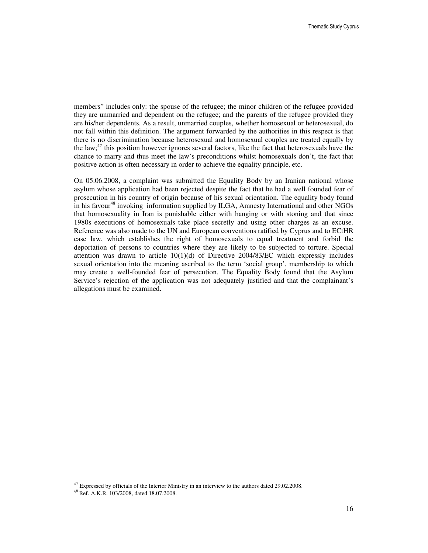members" includes only: the spouse of the refugee; the minor children of the refugee provided they are unmarried and dependent on the refugee; and the parents of the refugee provided they are his/her dependents. As a result, unmarried couples, whether homosexual or heterosexual, do not fall within this definition. The argument forwarded by the authorities in this respect is that there is no discrimination because heterosexual and homosexual couples are treated equally by the law;<sup>47</sup> this position however ignores several factors, like the fact that heterosexuals have the chance to marry and thus meet the law's preconditions whilst homosexuals don't, the fact that positive action is often necessary in order to achieve the equality principle, etc.

On 05.06.2008, a complaint was submitted the Equality Body by an Iranian national whose asylum whose application had been rejected despite the fact that he had a well founded fear of prosecution in his country of origin because of his sexual orientation. The equality body found in his favour<sup>48</sup> invoking information supplied by ILGA, Amnesty International and other NGOs that homosexuality in Iran is punishable either with hanging or with stoning and that since 1980s executions of homosexuals take place secretly and using other charges as an excuse. Reference was also made to the UN and European conventions ratified by Cyprus and to ECtHR case law, which establishes the right of homosexuals to equal treatment and forbid the deportation of persons to countries where they are likely to be subjected to torture. Special attention was drawn to article  $10(1)(d)$  of Directive 2004/83/EC which expressly includes sexual orientation into the meaning ascribed to the term 'social group', membership to which may create a well-founded fear of persecution. The Equality Body found that the Asylum Service's rejection of the application was not adequately justified and that the complainant's allegations must be examined.

 $47$  Expressed by officials of the Interior Ministry in an interview to the authors dated 29.02.2008.

<sup>48</sup> Ref. A.K.R. 103/2008, dated 18.07.2008.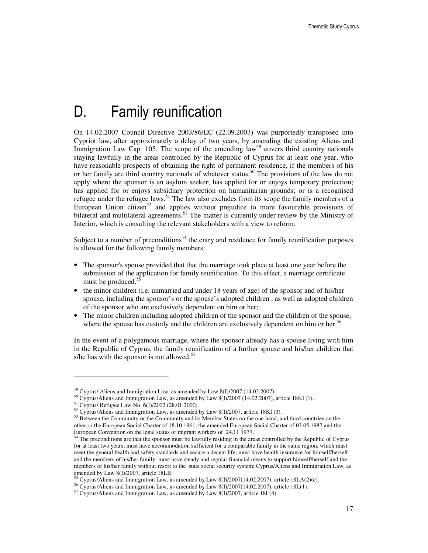# D. Family reunification

On 14.02.2007 Council Directive 2003/86/EC (22.09.2003) was purportedly transposed into Cypriot law, after approximately a delay of two years, by amending the existing Aliens and Immigration Law Cap. 105. The scope of the amending  $law<sup>49</sup>$  covers third country nationals staying lawfully in the areas controlled by the Republic of Cyprus for at least one year, who have reasonable prospects of obtaining the right of permanent residence, if the members of his or her family are third country nationals of whatever status.<sup>50</sup> The provisions of the law do not apply where the sponsor is an asylum seeker; has applied for or enjoys temporary protection; has applied for or enjoys subsidiary protection on humanitarian grounds; or is a recognised refugee under the refugee laws.<sup>51</sup> The law also excludes from its scope the family members of a European Union citizen<sup>52</sup> and applies without prejudice to more favourable provisions of bilateral and multilateral agreements.<sup>53</sup> The matter is currently under review by the Ministry of Interior, which is consulting the relevant stakeholders with a view to reform.

Subject to a number of preconditions<sup>54</sup> the entry and residence for family reunification purposes is allowed for the following family members:

- The sponsor's spouse provided that that the marriage took place at least one year before the submission of the application for family reunification. To this effect, a marriage certificate must be produced.<sup>55</sup>
- the minor children (i.e. unmarried and under 18 years of age) of the sponsor and of his/her spouse, including the sponsor's or the spouse's adopted children , as well as adopted children of the sponsor who are exclusively dependent on him or her;
- The minor children including adopted children of the sponsor and the children of the spouse, where the spouse has custody and the children are exclusively dependent on him or her.<sup>56</sup>

In the event of a polygamous marriage, where the sponsor already has a spouse living with him in the Republic of Cyprus, the family reunification of a further spouse and his/her children that s/he has with the sponsor is not allowed. $57$ 

 $^{49}$  Cyprus/ Aliens and Immigration Law, as amended by Law 8(I)/2007 (14.02.2007).

<sup>&</sup>lt;sup>50</sup> Cyprus/Aliens and Immigration Law, as amended by Law 8(I)/2007 (14.02.2007), article 18KI (1).

<sup>51</sup> Cyprus/ Refugee Law No. 6(I)/2002 (28.01.2000).

 $52$  Cyprus/Aliens and Immigration Law, as amended by Law 8(I)/2007, article 18KI (3).

<sup>&</sup>lt;sup>53</sup> Between the Community or the Community and its Member States on the one hand, and third countries on the other or the European Social Charter of 18.10.1961, the amended European Social Charter of 03.05.1987 and the European Convention on the legal status of migrant workers of 24.11.1977.

<sup>&</sup>lt;sup>54</sup> The preconditions are that the sponsor must be lawfully residing in the areas controlled by the Republic of Cyprus for at least two years; must have accommodation sufficient for a comparable family in the same region, which must meet the general health and safety standards and secure a decent life; must have health insurance for himself/herself and the members of his/her family; must have steady and regular financial means to support himself/herself and the members of his/her family without resort to the state social security system: Cyprus/Aliens and Immigration Law, as amended by Law 8(I)/2007, article 18LB.

<sup>55</sup> Cyprus/Aliens and Immigration Law, as amended by Law 8(I)/2007(14.02.2007), article 18LA(2)(c).

<sup>&</sup>lt;sup>56</sup> Cyprus/Aliens and Immigration Law, as amended by Law 8(I)/2007(14.02.2007), article 18L(1).

 $57$  Cyprus/Aliens and Immigration Law, as amended by Law 8(I)/2007, article 18L(4).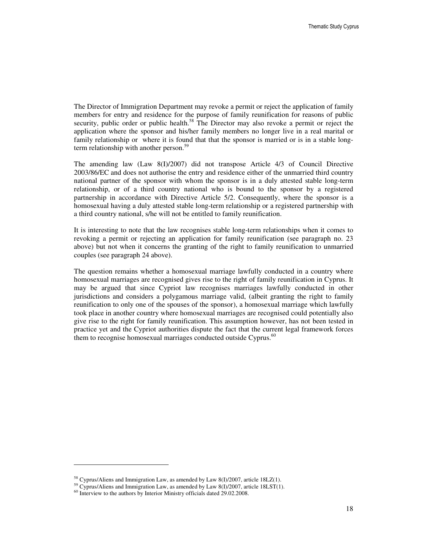The Director of Immigration Department may revoke a permit or reject the application of family members for entry and residence for the purpose of family reunification for reasons of public security, public order or public health.<sup>58</sup> The Director may also revoke a permit or reject the application where the sponsor and his/her family members no longer live in a real marital or family relationship or where it is found that that the sponsor is married or is in a stable longterm relationship with another person.<sup>59</sup>

The amending law (Law 8(I)/2007) did not transpose Article 4/3 of Council Directive 2003/86/EC and does not authorise the entry and residence either of the unmarried third country national partner of the sponsor with whom the sponsor is in a duly attested stable long-term relationship, or of a third country national who is bound to the sponsor by a registered partnership in accordance with Directive Article 5/2. Consequently, where the sponsor is a homosexual having a duly attested stable long-term relationship or a registered partnership with a third country national, s/he will not be entitled to family reunification.

It is interesting to note that the law recognises stable long-term relationships when it comes to revoking a permit or rejecting an application for family reunification (see paragraph no. 23 above) but not when it concerns the granting of the right to family reunification to unmarried couples (see paragraph 24 above).

The question remains whether a homosexual marriage lawfully conducted in a country where homosexual marriages are recognised gives rise to the right of family reunification in Cyprus. It may be argued that since Cypriot law recognises marriages lawfully conducted in other jurisdictions and considers a polygamous marriage valid, (albeit granting the right to family reunification to only one of the spouses of the sponsor), a homosexual marriage which lawfully took place in another country where homosexual marriages are recognised could potentially also give rise to the right for family reunification. This assumption however, has not been tested in practice yet and the Cypriot authorities dispute the fact that the current legal framework forces them to recognise homosexual marriages conducted outside Cyprus.<sup>60</sup>

<sup>&</sup>lt;sup>58</sup> Cyprus/Aliens and Immigration Law, as amended by Law 8(I)/2007, article 18LZ(1).

<sup>59</sup> Cyprus/Aliens and Immigration Law, as amended by Law 8(I)/2007, article 18LST(1).

<sup>&</sup>lt;sup>60</sup> Interview to the authors by Interior Ministry officials dated 29.02.2008.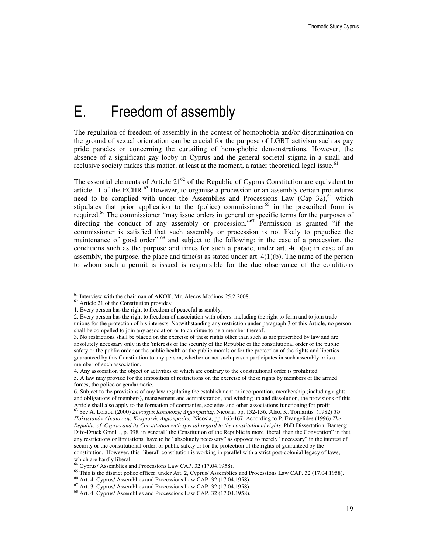# E. Freedom of assembly

The regulation of freedom of assembly in the context of homophobia and/or discrimination on the ground of sexual orientation can be crucial for the purpose of LGBT activism such as gay pride parades or concerning the curtailing of homophobic demonstrations. However, the absence of a significant gay lobby in Cyprus and the general societal stigma in a small and reclusive society makes this matter, at least at the moment, a rather theoretical legal issue.<sup>61</sup>

The essential elements of Article  $21^{62}$  of the Republic of Cyprus Constitution are equivalent to article 11 of the ECHR.<sup>63</sup> However, to organise a procession or an assembly certain procedures need to be complied with under the Assemblies and Processions Law (Cap  $32$ ), <sup>64</sup> which stipulates that prior application to the (police) commissioner<sup>65</sup> in the prescribed form is required.<sup>66</sup> The commissioner "may issue orders in general or specific terms for the purposes of directing the conduct of any assembly or procession."<sup>67</sup> Permission is granted "if the commissioner is satisfied that such assembly or procession is not likely to prejudice the maintenance of good order"<sup>68</sup> and subject to the following: in the case of a procession, the conditions such as the purpose and times for such a parade, under art.  $4(1)(a)$ ; in case of an assembly, the purpose, the place and time(s) as stated under art. 4(1)(b). The name of the person to whom such a permit is issued is responsible for the due observance of the conditions

 $\ddot{ }$ 

5. A law may provide for the imposition of restrictions on the exercise of these rights by members of the armed forces, the police or gendarmerie.

 $<sup>61</sup>$  Interview with the chairman of AKOK, Mr. Alecos Modinos 25.2.2008.</sup>

<sup>62</sup> Article 21 of the Constitution provides:

<sup>1.</sup> Every person has the right to freedom of peaceful assembly.

<sup>2.</sup> Every person has the right to freedom of association with others, including the right to form and to join trade unions for the protection of his interests. Notwithstanding any restriction under paragraph 3 of this Article, no person shall be compelled to join any association or to continue to be a member thereof.

<sup>3.</sup> No restrictions shall be placed on the exercise of these rights other than such as are prescribed by law and are absolutely necessary only in the 'interests of the security of the Republic or the constitutional order or the public safety or the public order or the public health or the public morals or for the protection of the rights and liberties guaranteed by this Constitution to any person, whether or not such person participates in such assembly or is a member of such association.

<sup>4.</sup> Any association the object or activities of which are contrary to the constitutional order is prohibited.

<sup>6.</sup> Subject to the provisions of any law regulating the establishment or incorporation, membership (including rights and obligations of members), management and administration, and winding up and dissolution, the provisions of this Article shall also apply to the formation of companies, societies and other associations functioning for profit.

<sup>63</sup> See A. Loizou (2000) Σύνταγµα Κυπριακής ∆ηµοκρατίας, Nicosia, pp. 132-136. Also, K. Tornaritis (1982) *To*  Πολιτειακόν ∆ίκαιον της Κυπριακής ∆ηµοκρατίας, Nicosia, pp. 163-167. According to P. Evangelides (1996) *The Republic of Cyprus and its Constitution with special regard to the constitutional rights*, PhD Dissertation, Bamerg: Difo-Druck GmnH., p. 398, in general "the Constitution of the Republic is more liberal than the Convention" in that any restrictions or limitations have to be "absolutely necessary" as opposed to merely "necessary" in the interest of security or the constitutional order, or public safety or for the protection of the rights of guaranteed by the constitution. However, this 'liberal' constitution is working in parallel with a strict post-colonial legacy of laws, which are hardly liberal.

<sup>64</sup> Cyprus/ Assemblies and Processions Law CAP. 32 (17.04.1958).

<sup>&</sup>lt;sup>65</sup> This is the district police officer, under Art. 2, Cyprus/ Assemblies and Processions Law CAP. 32 (17.04.1958).

<sup>66</sup> Art. 4, Cyprus/ Assemblies and Processions Law CAP. 32 (17.04.1958).

 $67$  Art. 3, Cyprus/ Assemblies and Processions Law CAP. 32 (17.04.1958).

<sup>68</sup> Art. 4, Cyprus/ Assemblies and Processions Law CAP. 32 (17.04.1958).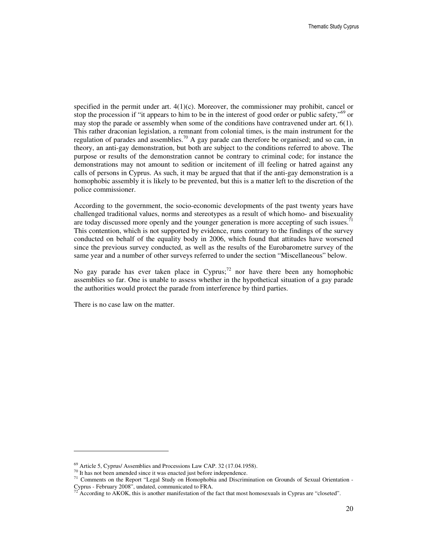specified in the permit under art.  $4(1)(c)$ . Moreover, the commissioner may prohibit, cancel or stop the procession if "it appears to him to be in the interest of good order or public safety,"<sup>69</sup> or may stop the parade or assembly when some of the conditions have contravened under art. 6(1). This rather draconian legislation, a remnant from colonial times, is the main instrument for the regulation of parades and assemblies.<sup>70</sup> A gay parade can therefore be organised; and so can, in theory, an anti-gay demonstration, but both are subject to the conditions referred to above. The purpose or results of the demonstration cannot be contrary to criminal code; for instance the demonstrations may not amount to sedition or incitement of ill feeling or hatred against any calls of persons in Cyprus. As such, it may be argued that that if the anti-gay demonstration is a homophobic assembly it is likely to be prevented, but this is a matter left to the discretion of the police commissioner.

According to the government, the socio-economic developments of the past twenty years have challenged traditional values, norms and stereotypes as a result of which homo- and bisexuality are today discussed more openly and the younger generation is more accepting of such issues.<sup>71</sup> This contention, which is not supported by evidence, runs contrary to the findings of the survey conducted on behalf of the equality body in 2006, which found that attitudes have worsened since the previous survey conducted, as well as the results of the Eurobarometre survey of the same year and a number of other surveys referred to under the section "Miscellaneous" below.

No gay parade has ever taken place in Cyprus;<sup>72</sup> nor have there been any homophobic assemblies so far. One is unable to assess whether in the hypothetical situation of a gay parade the authorities would protect the parade from interference by third parties.

There is no case law on the matter.

 $\overline{a}$ 

<sup>69</sup> Article 5, Cyprus/ Assemblies and Processions Law CAP. 32 (17.04.1958).

<sup>&</sup>lt;sup>70</sup> It has not been amended since it was enacted just before independence.

<sup>71</sup> Comments on the Report "Legal Study on Homophobia and Discrimination on Grounds of Sexual Orientation - Cyprus - February 2008", undated, communicated to FRA.

According to AKOK, this is another manifestation of the fact that most homosexuals in Cyprus are "closeted".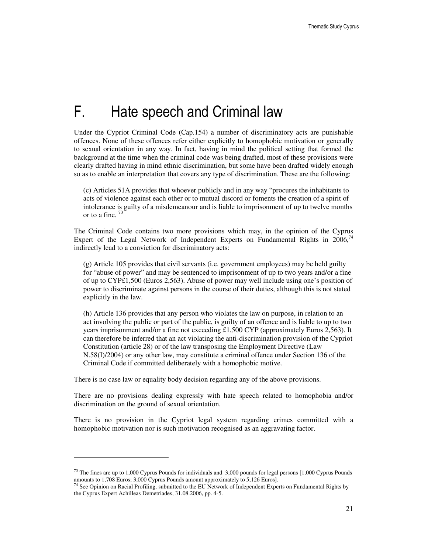# F. Hate speech and Criminal law

Under the Cypriot Criminal Code (Cap.154) a number of discriminatory acts are punishable offences. None of these offences refer either explicitly to homophobic motivation or generally to sexual orientation in any way. In fact, having in mind the political setting that formed the background at the time when the criminal code was being drafted, most of these provisions were clearly drafted having in mind ethnic discrimination, but some have been drafted widely enough so as to enable an interpretation that covers any type of discrimination. These are the following:

(c) Articles 51A provides that whoever publicly and in any way "procures the inhabitants to acts of violence against each other or to mutual discord or foments the creation of a spirit of intolerance is guilty of a misdemeanour and is liable to imprisonment of up to twelve months or to a fine.  $73$ 

The Criminal Code contains two more provisions which may, in the opinion of the Cyprus Expert of the Legal Network of Independent Experts on Fundamental Rights in  $2006$ , indirectly lead to a conviction for discriminatory acts:

(g) Article 105 provides that civil servants (i.e. government employees) may be held guilty for "abuse of power" and may be sentenced to imprisonment of up to two years and/or a fine of up to CYP£1,500 (Euros 2,563). Abuse of power may well include using one's position of power to discriminate against persons in the course of their duties, although this is not stated explicitly in the law.

(h) Article 136 provides that any person who violates the law on purpose, in relation to an act involving the public or part of the public, is guilty of an offence and is liable to up to two years imprisonment and/or a fine not exceeding £1,500 CYP (approximately Euros 2,563). It can therefore be inferred that an act violating the anti-discrimination provision of the Cypriot Constitution (article 28) or of the law transposing the Employment Directive (Law N.58(I)/2004) or any other law, may constitute a criminal offence under Section 136 of the Criminal Code if committed deliberately with a homophobic motive.

There is no case law or equality body decision regarding any of the above provisions.

 $\ddot{ }$ 

There are no provisions dealing expressly with hate speech related to homophobia and/or discrimination on the ground of sexual orientation.

There is no provision in the Cypriot legal system regarding crimes committed with a homophobic motivation nor is such motivation recognised as an aggravating factor.

 $73$  The fines are up to 1,000 Cyprus Pounds for individuals and 3,000 pounds for legal persons [1,000 Cyprus Pounds amounts to 1,708 Euros; 3,000 Cyprus Pounds amount approximately to 5,126 Euros].

 $74$  See Opinion on Racial Profiling, submitted to the EU Network of Independent Experts on Fundamental Rights by the Cyprus Expert Achilleas Demetriades, 31.08.2006, pp. 4-5.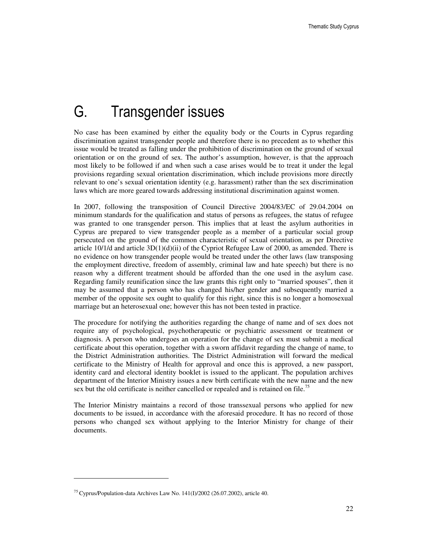# G. Transgender issues

No case has been examined by either the equality body or the Courts in Cyprus regarding discrimination against transgender people and therefore there is no precedent as to whether this issue would be treated as falling under the prohibition of discrimination on the ground of sexual orientation or on the ground of sex. The author's assumption, however, is that the approach most likely to be followed if and when such a case arises would be to treat it under the legal provisions regarding sexual orientation discrimination, which include provisions more directly relevant to one's sexual orientation identity (e.g. harassment) rather than the sex discrimination laws which are more geared towards addressing institutional discrimination against women.

In 2007, following the transposition of Council Directive 2004/83/EC of 29.04.2004 on minimum standards for the qualification and status of persons as refugees, the status of refugee was granted to one transgender person. This implies that at least the asylum authorities in Cyprus are prepared to view transgender people as a member of a particular social group persecuted on the ground of the common characteristic of sexual orientation, as per Directive article  $10/1/d$  and article  $3D(1)(d)(ii)$  of the Cypriot Refugee Law of 2000, as amended. There is no evidence on how transgender people would be treated under the other laws (law transposing the employment directive, freedom of assembly, criminal law and hate speech) but there is no reason why a different treatment should be afforded than the one used in the asylum case. Regarding family reunification since the law grants this right only to "married spouses", then it may be assumed that a person who has changed his/her gender and subsequently married a member of the opposite sex ought to qualify for this right, since this is no longer a homosexual marriage but an heterosexual one; however this has not been tested in practice.

The procedure for notifying the authorities regarding the change of name and of sex does not require any of psychological, psychotherapeutic or psychiatric assessment or treatment or diagnosis. A person who undergoes an operation for the change of sex must submit a medical certificate about this operation, together with a sworn affidavit regarding the change of name, to the District Administration authorities. The District Administration will forward the medical certificate to the Ministry of Health for approval and once this is approved, a new passport, identity card and electoral identity booklet is issued to the applicant. The population archives department of the Interior Ministry issues a new birth certificate with the new name and the new sex but the old certificate is neither cancelled or repealed and is retained on file.<sup>75</sup>

The Interior Ministry maintains a record of those transsexual persons who applied for new documents to be issued, in accordance with the aforesaid procedure. It has no record of those persons who changed sex without applying to the Interior Ministry for change of their documents.

<sup>&</sup>lt;sup>75</sup> Cyprus/Population-data Archives Law No.  $141(I)/2002$  (26.07.2002), article 40.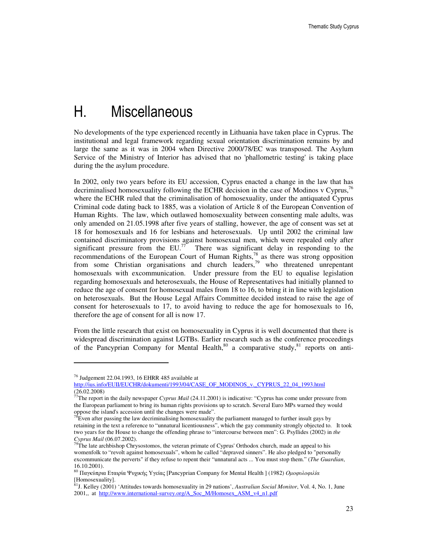# H. Miscellaneous

No developments of the type experienced recently in Lithuania have taken place in Cyprus. The institutional and legal framework regarding sexual orientation discrimination remains by and large the same as it was in 2004 when Directive 2000/78/EC was transposed. The Asylum Service of the Ministry of Interior has advised that no 'phallometric testing' is taking place during the the asylum procedure.

In 2002, only two years before its EU accession, Cyprus enacted a change in the law that has decriminalised homosexuality following the ECHR decision in the case of Modinos v Cyprus,<sup>16</sup> where the ECHR ruled that the criminalisation of homosexuality, under the antiquated Cyprus Criminal code dating back to 1885, was a violation of Article 8 of the European Convention of Human Rights. The law, which outlawed homosexuality between consenting male adults, was only amended on 21.05.1998 after five years of stalling, however, the age of consent was set at 18 for homosexuals and 16 for lesbians and heterosexuals. Up until 2002 the criminal law contained discriminatory provisions against homosexual men, which were repealed only after significant pressure from the  $EU^{7}$ . There was significant delay in responding to the recommendations of the European Court of Human Rights, $^{78}$  as there was strong opposition from some Christian organisations and church leaders,<sup>79</sup> who threatened unrepentant homosexuals with excommunication. Under pressure from the EU to equalise legislation regarding homosexuals and heterosexuals, the House of Representatives had initially planned to reduce the age of consent for homosexual males from 18 to 16, to bring it in line with legislation on heterosexuals. But the House Legal Affairs Committee decided instead to raise the age of consent for heterosexuals to 17, to avoid having to reduce the age for homosexuals to 16, therefore the age of consent for all is now 17.

From the little research that exist on homosexuality in Cyprus it is well documented that there is widespread discrimination against LGTBs. Earlier research such as the conference proceedings of the Pancyprian Company for Mental Health, $80$  a comparative study, $81$  reports on anti-

<sup>76</sup> Judgement 22.04.1993, 16 EHRR 485 available at

http://ius.info/EUII/EUCHR/dokumenti/1993/04/CASE\_OF\_MODINOS\_v.\_CYPRUS\_22\_04\_1993.html (26.02.2008)

<sup>77</sup>The report in the daily newspaper *Cyprus Mail* (24.11.2001) is indicative: "Cyprus has come under pressure from the European parliament to bring its human rights provisions up to scratch. Several Euro MPs warned they would oppose the island's accession until the changes were made".

 $78$ Even after passing the law decriminalising homosexuality the parliament managed to further insult gays by retaining in the text a reference to "unnatural licentiousness", which the gay community strongly objected to. It took two years for the House to change the offending phrase to "intercourse between men": G. Psyllides (2002) in *the Cyprus Mail* (06.07.2002).

 $79$ The late archbishop Chrysostomos, the veteran primate of Cyprus' Orthodox church, made an appeal to his womenfolk to "revolt against homosexuals", whom he called "depraved sinners". He also pledged to "personally excommunicate the perverts" if they refuse to repent their "unnatural acts ... You must stop them." (*The Guardian*, 16.10.2001).

<sup>&</sup>lt;sup>80</sup> Παγκύπρια Εταιρία Ψυχικής Υγείας [Pancyprian Company for Mental Health ] (1982) *Ομοφυλοφιλία* [Homosexuality].

<sup>81</sup>J. Kelley (2001) 'Attitudes towards homosexuality in 29 nations', *Australian Social Monitor*, Vol. 4, No. 1, June 2001,, at http://www.international-survey.org/A\_Soc\_M/Homosex\_ASM\_v4\_n1.pdf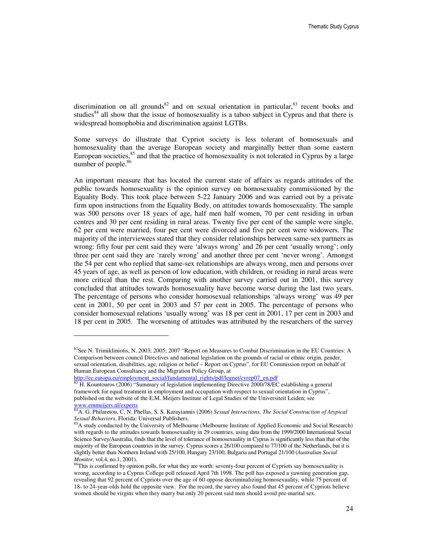discrimination on all grounds<sup>82</sup> and on sexual orientation in particular, <sup>83</sup> recent books and studies $^{84}$  all show that the issue of homosexuality is a taboo subject in Cyprus and that there is widespread homophobia and discrimination against LGTBs.

Some surveys do illustrate that Cypriot society is less tolerant of homosexuals and homosexuality than the average European society and marginally better than some eastern European societies, $85$  and that the practice of homosexuality is not tolerated in Cyprus by a large number of people.<sup>86</sup>

An important measure that has located the current state of affairs as regards attitudes of the public towards homosexuality is the opinion survey on homosexuality commissioned by the Equality Body. This took place between 5-22 January 2006 and was carried out by a private firm upon instructions from the Equality Body, on attitudes towards homosexuality. The sample was 500 persons over 18 years of age, half men half women, 70 per cent residing in urban centres and 30 per cent residing in rural areas. Twenty five per cent of the sample were single, 62 per cent were married, four per cent were divorced and five per cent were widowers. The majority of the interviewees stated that they consider relationships between same-sex partners as wrong: fifty four per cent said they were 'always wrong' and 26 per cent 'usually wrong'; only three per cent said they are 'rarely wrong' and another three per cent 'never wrong'. Amongst the 54 per cent who replied that same-sex relationships are always wrong, men and persons over 45 years of age, as well as person of low education, with children, or residing in rural areas were more critical than the rest. Comparing with another survey carried out in 2001, this survey concluded that attitudes towards homosexuality have become worse during the last two years. The percentage of persons who consider homosexual relationships 'always wrong' was 49 per cent in 2001, 50 per cent in 2003 and 57 per cent in 2005. The percentage of persons who consider homosexual relations 'usually wrong' was 18 per cent in 2001, 17 per cent in 2003 and 18 per cent in 2005. The worsening of attitudes was attributed by the researchers of the survey

 ${}^{82}$ See N. Trimikliniotis, N. 2003; 2005; 2007 "Report on Measures to Combat Discrimination in the EU Countries: A Comparison between council Directives and national legislation on the grounds of racial or ethnic origin, gender, sexual orientation, disabilities, age, religion or belief – Report on Cyprus", for EU Commission report on behalf of Human European Consultancy and the Migration Policy Group, at

http://ec.europa.eu/employment\_social/fundamental\_rights/pdf/legnet/cyrep07\_en.pdf

<sup>83</sup> H. Kountouros (2006) "Summary of legislation implementing Directive 2000/78/EC establishing a general framework for equal treatment in employment and occupation with respect to sexual orientation in Cyprus", published on the website of the E.M. Meijers Institute of Legal Studies of the Universiteit Leiden; see www.emmeijers.nl/experts

<sup>84</sup>A. G. Philaretou, C. N. Phellas, S. S. Karayiannis (2006) *Sexual Interactions, The Social Construction of Atypical Sexual Behaviors*, Florida: Universal Publishers.

<sup>&</sup>lt;sup>85</sup>A study conducted by the University of Melbourne (Melbourne Institute of Applied Economic and Social Research) with regards to the attitudes towards homosexuality in 29 countries, using data from the 1999/2000 International Social Science Survey/Australia, finds that the level of tolerance of homosexuality in Cyprus is significantly less than that of the majority of the European countries in the survey. Cyprus scores a 26/100 compared to 77/100 of the Netherlands, but it is slightly better than Northern Ireland with 25/100, Hungary 23/100, Bulgaria and Portugal 21/100 (*Australian Social Monitor*, vol.4, no.1, 2001).

<sup>&</sup>lt;sup>86</sup>This is confirmed by opinion polls, for what they are worth: seventy-four percent of Cypriots say homosexuality is wrong, according to a Cyprus College poll released April 7th 1998. The poll has exposed a yawning generation gap, revealing that 92 percent of Cypriots over the age of 60 oppose decriminalizing homosexuality, while 75 percent of 18- to 24-year-olds hold the opposite view. For the record, the survey also found that 45 percent of Cypriots believe women should be virgins when they marry but only 20 percent said men should avoid pre-marital sex.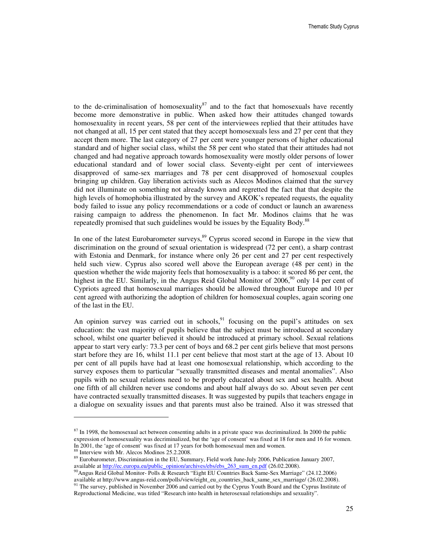to the de-criminalisation of homosexuality $^{87}$  and to the fact that homosexuals have recently become more demonstrative in public. When asked how their attitudes changed towards homosexuality in recent years, 58 per cent of the interviewees replied that their attitudes have not changed at all, 15 per cent stated that they accept homosexuals less and 27 per cent that they accept them more. The last category of 27 per cent were younger persons of higher educational standard and of higher social class, whilst the 58 per cent who stated that their attitudes had not changed and had negative approach towards homosexuality were mostly older persons of lower educational standard and of lower social class. Seventy-eight per cent of interviewees disapproved of same-sex marriages and 78 per cent disapproved of homosexual couples bringing up children. Gay liberation activists such as Alecos Modinos claimed that the survey did not illuminate on something not already known and regretted the fact that that despite the high levels of homophobia illustrated by the survey and AKOK's repeated requests, the equality body failed to issue any policy recommendations or a code of conduct or launch an awareness raising campaign to address the phenomenon. In fact Mr. Modinos claims that he was repeatedly promised that such guidelines would be issues by the Equality Body.<sup>88</sup>

In one of the latest Eurobarometer surveys,<sup>89</sup> Cyprus scored second in Europe in the view that discrimination on the ground of sexual orientation is widespread (72 per cent), a sharp contrast with Estonia and Denmark, for instance where only 26 per cent and 27 per cent respectively held such view. Cyprus also scored well above the European average (48 per cent) in the question whether the wide majority feels that homosexuality is a taboo: it scored 86 per cent, the highest in the EU. Similarly, in the Angus Reid Global Monitor of 2006,<sup>90</sup> only 14 per cent of Cypriots agreed that homosexual marriages should be allowed throughout Europe and 10 per cent agreed with authorizing the adoption of children for homosexual couples, again scoring one of the last in the EU.

An opinion survey was carried out in schools,  $91$  focusing on the pupil's attitudes on sex education: the vast majority of pupils believe that the subject must be introduced at secondary school, whilst one quarter believed it should be introduced at primary school. Sexual relations appear to start very early: 73.3 per cent of boys and 68.2 per cent girls believe that most persons start before they are 16, whilst 11.1 per cent believe that most start at the age of 13. About 10 per cent of all pupils have had at least one homosexual relationship, which according to the survey exposes them to particular "sexually transmitted diseases and mental anomalies". Also pupils with no sexual relations need to be properly educated about sex and sex health. About one fifth of all children never use condoms and about half always do so. About seven per cent have contracted sexually transmitted diseases. It was suggested by pupils that teachers engage in a dialogue on sexuality issues and that parents must also be trained. Also it was stressed that

 $87$  In 1998, the homosexual act between consenting adults in a private space was decriminalized. In 2000 the public expression of homosexuality was decriminalized, but the 'age of consent' was fixed at 18 for men and 16 for women. In 2001, the 'age of consent' was fixed at 17 years for both homosexual men and women.

<sup>88</sup> Interview with Mr. Alecos Modinos 25.2.2008.

<sup>&</sup>lt;sup>89</sup> Eurobarometer, Discrimination in the EU, Summary, Field work June-July 2006, Publication January 2007, available at http://ec.europa.eu/public\_opinion/archives/ebs/ebs\_263\_sum\_en.pdf (26.02.2008).

<sup>90</sup>Angus Reid Global Monitor- Polls & Research "Eight EU Countries Back Same-Sex Marriage" (24.12.2006) available at http://www.angus-reid.com/polls/view/eight\_eu\_countries\_back\_same\_sex\_marriage/ (26.02.2008).

<sup>&</sup>lt;sup>91</sup> The survey, published in November 2006 and carried out by the Cyprus Youth Board and the Cyprus Institute of Reproductional Medicine, was titled "Research into health in heterosexual relationships and sexuality".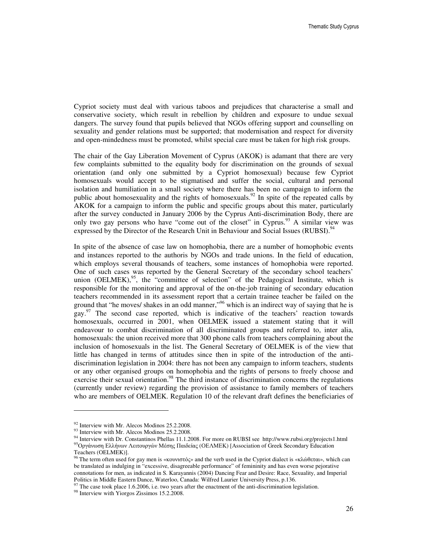Cypriot society must deal with various taboos and prejudices that characterise a small and conservative society, which result in rebellion by children and exposure to undue sexual dangers. The survey found that pupils believed that NGOs offering support and counselling on sexuality and gender relations must be supported; that modernisation and respect for diversity and open-mindedness must be promoted, whilst special care must be taken for high risk groups.

The chair of the Gay Liberation Movement of Cyprus (AKOK) is adamant that there are very few complaints submitted to the equality body for discrimination on the grounds of sexual orientation (and only one submitted by a Cypriot homosexual) because few Cypriot homosexuals would accept to be stigmatised and suffer the social, cultural and personal isolation and humiliation in a small society where there has been no campaign to inform the public about homosexuality and the rights of homosexuals.<sup>92</sup> In spite of the repeated calls by AKOK for a campaign to inform the public and specific groups about this mater, particularly after the survey conducted in January 2006 by the Cyprus Anti-discrimination Body, there are only two gay persons who have "come out of the closet" in Cyprus.<sup>93</sup> A similar view was expressed by the Director of the Research Unit in Behaviour and Social Issues (RUBSI).<sup>94</sup>

In spite of the absence of case law on homophobia, there are a number of homophobic events and instances reported to the authoris by NGOs and trade unions. In the field of education, which employs several thousands of teachers, some instances of homophobia were reported. One of such cases was reported by the General Secretary of the secondary school teachers' union (OELMEK), $95$ , the "committee of selection" of the Pedagogical Institute, which is responsible for the monitoring and approval of the on-the-job training of secondary education teachers recommended in its assessment report that a certain trainee teacher be failed on the ground that "he moves/ shakes in an odd manner,"<sup>96</sup> which is an indirect way of saying that he is gay.<sup>97</sup> The second case reported, which is indicative of the teachers' reaction towards homosexuals, occurred in 2001, when OELMEK issued a statement stating that it will endeavour to combat discrimination of all discriminated groups and referred to, inter alia, homosexuals: the union received more that 300 phone calls from teachers complaining about the inclusion of homosexuals in the list. The General Secretary of OELMEK is of the view that little has changed in terms of attitudes since then in spite of the introduction of the antidiscrimination legislation in 2004: there has not been any campaign to inform teachers, students or any other organised groups on homophobia and the rights of persons to freely choose and exercise their sexual orientation.<sup>98</sup> The third instance of discrimination concerns the regulations (currently under review) regarding the provision of assistance to family members of teachers who are members of OELMEK. Regulation 10 of the relevant draft defines the beneficiaries of

<sup>&</sup>lt;sup>92</sup> Interview with Mr. Alecos Modinos 25.2.2008.

<sup>&</sup>lt;sup>93</sup> Interview with Mr. Alecos Modinos 25.2.2008.

<sup>94</sup> Interview with Dr. Constantinos Phellas 11.1.2008. For more on RUBSI see http://www.rubsi.org/projects1.html

<sup>&</sup>lt;sup>95</sup>Οργάνωση Ελλήνων Λειτουργών Μέσης Παιδείας (ΟΕΛΜΕΚ) [Association of Greek Secondary Education Teachers (OELMEK)].

<sup>96</sup>The term often used for gay men is «κουνιστός» and the verb used in the Cypriot dialect is «κλώθεται», which can be translated as indulging in "excessive, disagreeable performance" of femininity and has even worse pejorative connotations for men, as indicated in S. Karayannis (2004) Dancing Fear and Desire: Race, Sexuality, and Imperial Politics in Middle Eastern Dance, Waterloo, Canada: Wilfred Laurier University Press, p.136.

 $^{97}$  The case took place 1.6.2006, i.e. two years after the enactment of the anti-discrimination legislation.

<sup>98</sup> Interview with Yiorgos Zissimos 15.2.2008.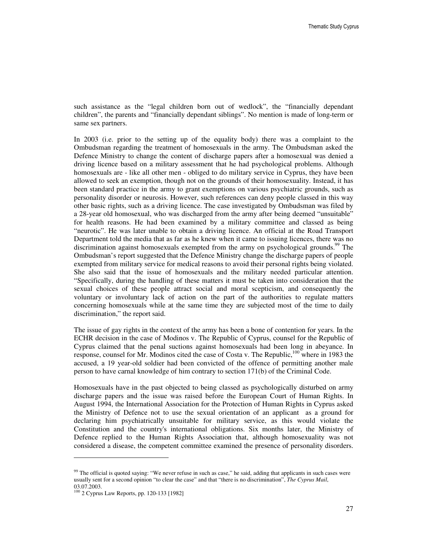such assistance as the "legal children born out of wedlock", the "financially dependant children", the parents and "financially dependant siblings". No mention is made of long-term or same sex partners.

In 2003 (i.e. prior to the setting up of the equality body) there was a complaint to the Ombudsman regarding the treatment of homosexuals in the army. The Ombudsman asked the Defence Ministry to change the content of discharge papers after a homosexual was denied a driving licence based on a military assessment that he had psychological problems. Although homosexuals are - like all other men - obliged to do military service in Cyprus, they have been allowed to seek an exemption, though not on the grounds of their homosexuality. Instead, it has been standard practice in the army to grant exemptions on various psychiatric grounds, such as personality disorder or neurosis. However, such references can deny people classed in this way other basic rights, such as a driving licence. The case investigated by Ombudsman was filed by a 28-year old homosexual, who was discharged from the army after being deemed "unsuitable" for health reasons. He had been examined by a military committee and classed as being "neurotic". He was later unable to obtain a driving licence. An official at the Road Transport Department told the media that as far as he knew when it came to issuing licences, there was no discrimination against homosexuals exempted from the army on psychological grounds.<sup>99</sup> The Ombudsman's report suggested that the Defence Ministry change the discharge papers of people exempted from military service for medical reasons to avoid their personal rights being violated. She also said that the issue of homosexuals and the military needed particular attention. "Specifically, during the handling of these matters it must be taken into consideration that the sexual choices of these people attract social and moral scepticism, and consequently the voluntary or involuntary lack of action on the part of the authorities to regulate matters concerning homosexuals while at the same time they are subjected most of the time to daily discrimination," the report said.

The issue of gay rights in the context of the army has been a bone of contention for years. In the ECHR decision in the case of Modinos v. The Republic of Cyprus, counsel for the Republic of Cyprus claimed that the penal suctions against homosexuals had been long in abeyance. In response, counsel for Mr. Modinos cited the case of Costa v. The Republic, $100$  where in 1983 the accused, a 19 year-old soldier had been convicted of the offence of permitting another male person to have carnal knowledge of him contrary to section 171(b) of the Criminal Code.

Homosexuals have in the past objected to being classed as psychologically disturbed on army discharge papers and the issue was raised before the European Court of Human Rights. In August 1994, the International Association for the Protection of Human Rights in Cyprus asked the Ministry of Defence not to use the sexual orientation of an applicant as a ground for declaring him psychiatrically unsuitable for military service, as this would violate the Constitution and the country's international obligations. Six months later, the Ministry of Defence replied to the Human Rights Association that, although homosexuality was not considered a disease, the competent committee examined the presence of personality disorders.

 $99$  The official is quoted saying: "We never refuse in such as case," he said, adding that applicants in such cases were usually sent for a second opinion "to clear the case" and that "there is no discrimination", *The Cyprus Mail*, 03.07.2003.

<sup>100</sup> 2 Cyprus Law Reports, pp. 120-133 [1982]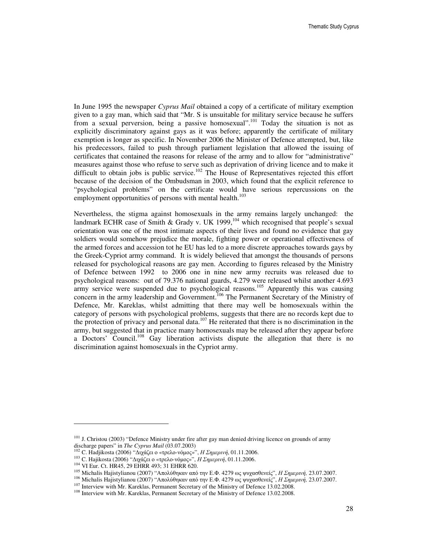In June 1995 the newspaper *Cyprus Mail* obtained a copy of a certificate of military exemption given to a gay man, which said that "Mr. S is unsuitable for military service because he suffers from a sexual perversion, being a passive homosexual".<sup>101</sup> Today the situation is not as explicitly discriminatory against gays as it was before; apparently the certificate of military exemption is longer as specific. In November 2006 the Minister of Defence attempted, but, like his predecessors, failed to push through parliament legislation that allowed the issuing of certificates that contained the reasons for release of the army and to allow for "administrative" measures against those who refuse to serve such as deprivation of driving licence and to make it difficult to obtain jobs is public service.<sup>102</sup> The House of Representatives rejected this effort because of the decision of the Ombudsman in 2003, which found that the explicit reference to "psychological problems" on the certificate would have serious repercussions on the employment opportunities of persons with mental health.<sup>103</sup>

Nevertheless, the stigma against homosexuals in the army remains largely unchanged: the landmark ECHR case of Smith & Grady v. UK 1999,  $104$  which recognised that people's sexual orientation was one of the most intimate aspects of their lives and found no evidence that gay soldiers would somehow prejudice the morale, fighting power or operational effectiveness of the armed forces and accession tot he EU has led to a more discrete approaches towards gays by the Greek-Cypriot army command. It is widely believed that amongst the thousands of persons released for psychological reasons are gay men. According to figures released by the Ministry of Defence between 1992 to 2006 one in nine new army recruits was released due to psychological reasons: out of 79.376 national guards, 4.279 were released whilst another 4.693  $\frac{1}{2}$  army service were suspended due to psychological reasons.<sup>105</sup> Apparently this was causing concern in the army leadership and Government.<sup>106</sup> The Permanent Secretary of the Ministry of Defence, Mr. Kareklas, whilst admitting that there may well be homosexuals within the category of persons with psychological problems, suggests that there are no records kept due to the protection of privacy and personal data.<sup>107</sup> He reiterated that there is no discrimination in the army, but suggested that in practice many homosexuals may be released after they appear before a Doctors' Council.<sup>108</sup> Gay liberation activists dispute the allegation that there is no discrimination against homosexuals in the Cypriot army.

<sup>&</sup>lt;sup>101</sup> J. Christou (2003) "Defence Ministry under fire after gay man denied driving licence on grounds of army discharge papers" in *The Cyprus Mail* (03.07.2003)

<sup>102</sup> C. Hadjikosta (2006) "∆ιχάζει ο «τρελο-νόµος»", Η Σηµερινή, 01.11.2006.

<sup>103</sup> C. Hajikosta (2006) "∆ιχάζει ο «τρελο-νόµος»", Η Σηµερινή, 01.11.2006.

<sup>104</sup> VI Eur. Ct. HR45, 29 EHRR 493; 31 EHRR 620.

<sup>105</sup> Michalis Hajistylianou (2007) "Απολύθηκαν από την Ε.Φ. 4279 ως ψυχασθενείς", Η Σηµερινή*,* 23.07.2007.

<sup>106</sup> Michalis Hajistylianou (2007) "Απολύθηκαν από την Ε.Φ. 4279 ως ψυχασθενείς", Η Σηµερινή*,* 23.07.2007.

<sup>&</sup>lt;sup>107</sup> Interview with Mr. Kareklas, Permanent Secretary of the Ministry of Defence 13.02.2008.

<sup>&</sup>lt;sup>108</sup> Interview with Mr. Kareklas, Permanent Secretary of the Ministry of Defence 13.02.2008.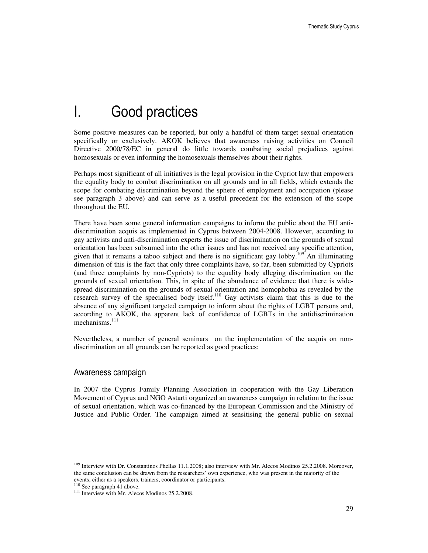# I. Good practices

Some positive measures can be reported, but only a handful of them target sexual orientation specifically or exclusively. AKOK believes that awareness raising activities on Council Directive 2000/78/EC in general do little towards combating social prejudices against homosexuals or even informing the homosexuals themselves about their rights.

Perhaps most significant of all initiatives is the legal provision in the Cypriot law that empowers the equality body to combat discrimination on all grounds and in all fields, which extends the scope for combating discrimination beyond the sphere of employment and occupation (please see paragraph 3 above) and can serve as a useful precedent for the extension of the scope throughout the EU.

There have been some general information campaigns to inform the public about the EU antidiscrimination acquis as implemented in Cyprus between 2004-2008. However, according to gay activists and anti-discrimination experts the issue of discrimination on the grounds of sexual orientation has been subsumed into the other issues and has not received any specific attention, given that it remains a taboo subject and there is no significant gay lobby.<sup>109</sup> An illuminating dimension of this is the fact that only three complaints have, so far, been submitted by Cypriots (and three complaints by non-Cypriots) to the equality body alleging discrimination on the grounds of sexual orientation. This, in spite of the abundance of evidence that there is widespread discrimination on the grounds of sexual orientation and homophobia as revealed by the research survey of the specialised body itself.<sup>110</sup> Gay activists claim that this is due to the absence of any significant targeted campaign to inform about the rights of LGBT persons and, according to AKOK, the apparent lack of confidence of LGBTs in the antidiscrimination mechanisms.<sup>111</sup>

Nevertheless, a number of general seminars on the implementation of the acquis on nondiscrimination on all grounds can be reported as good practices:

### Awareness campaign

In 2007 the Cyprus Family Planning Association in cooperation with the Gay Liberation Movement of Cyprus and NGO Astarti organized an awareness campaign in relation to the issue of sexual orientation, which was co-financed by the European Commission and the Ministry of Justice and Public Order. The campaign aimed at sensitising the general public on sexual

 $\overline{a}$ 

<sup>&</sup>lt;sup>109</sup> Interview with Dr. Constantinos Phellas 11.1.2008; also interview with Mr. Alecos Modinos 25.2.2008. Moreover, the same conclusion can be drawn from the researchers' own experience, who was present in the majority of the events, either as a speakers, trainers, coordinator or participants.

<sup>&</sup>lt;sup>110</sup> See paragraph 41 above.

<sup>&</sup>lt;sup>111</sup> Interview with Mr. Alecos Modinos 25.2.2008.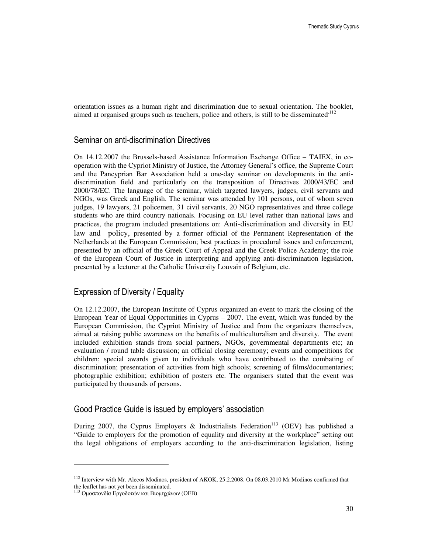orientation issues as a human right and discrimination due to sexual orientation. The booklet, aimed at organised groups such as teachers, police and others, is still to be disseminated.<sup>112</sup>

### Seminar on anti-discrimination Directives

On 14.12.2007 the Brussels-based Assistance Information Exchange Office – TAIEX, in cooperation with the Cypriot Ministry of Justice, the Attorney General's office, the Supreme Court and the Pancyprian Bar Association held a one-day seminar on developments in the antidiscrimination field and particularly on the transposition of Directives 2000/43/EC and 2000/78/EC. The language of the seminar, which targeted lawyers, judges, civil servants and NGOs, was Greek and English. The seminar was attended by 101 persons, out of whom seven judges, 19 lawyers, 21 policemen, 31 civil servants, 20 NGO representatives and three college students who are third country nationals. Focusing on EU level rather than national laws and practices, the program included presentations on: Anti-discrimination and diversity in EU law and policy, presented by a former official of the Permanent Representation of the Netherlands at the European Commission; best practices in procedural issues and enforcement, presented by an official of the Greek Court of Appeal and the Greek Police Academy; the role of the European Court of Justice in interpreting and applying anti-discrimination legislation, presented by a lecturer at the Catholic University Louvain of Belgium, etc.

### Expression of Diversity / Equality

On 12.12.2007, the European Institute of Cyprus organized an event to mark the closing of the European Year of Equal Opportunities in Cyprus – 2007. The event, which was funded by the European Commission, the Cypriot Ministry of Justice and from the organizers themselves, aimed at raising public awareness on the benefits of multiculturalism and diversity. The event included exhibition stands from social partners, NGOs, governmental departments etc; an evaluation / round table discussion; an official closing ceremony; events and competitions for children; special awards given to individuals who have contributed to the combating of discrimination; presentation of activities from high schools; screening of films/documentaries; photographic exhibition; exhibition of posters etc. The organisers stated that the event was participated by thousands of persons.

### Good Practice Guide is issued by employers' association

During 2007, the Cyprus Employers & Industrialists Federation<sup>113</sup> (OEV) has published a "Guide to employers for the promotion of equality and diversity at the workplace" setting out the legal obligations of employers according to the anti-discrimination legislation, listing

<sup>&</sup>lt;sup>112</sup> Interview with Mr. Alecos Modinos, president of AKOK, 25.2.2008. On 08.03.2010 Mr Modinos confirmed that the leaflet has not yet been disseminated.

<sup>113</sup> Οµοσπονδία Εργοδοτών και Βιοµηχάνων (ΟΕΒ)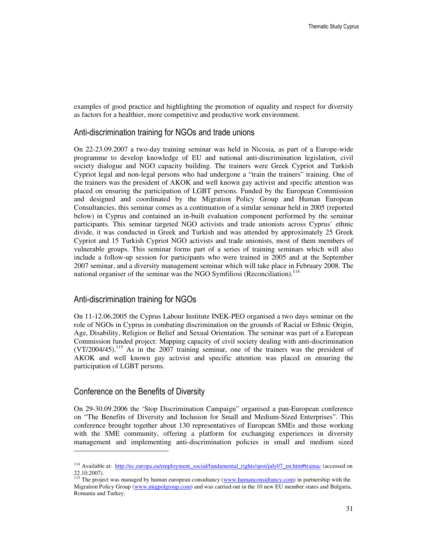examples of good practice and highlighting the promotion of equality and respect for diversity as factors for a healthier, more competitive and productive work environment.

### Anti-discrimination training for NGOs and trade unions

On 22-23.09.2007 a two-day training seminar was held in Nicosia, as part of a Europe-wide programme to develop knowledge of EU and national anti-discrimination legislation, civil society dialogue and NGO capacity building. The trainers were Greek Cypriot and Turkish Cypriot legal and non-legal persons who had undergone a "train the trainers" training. One of the trainers was the president of AKOK and well known gay activist and specific attention was placed on ensuring the participation of LGBT persons. Funded by the European Commission and designed and coordinated by the Migration Policy Group and Human European Consultancies, this seminar comes as a continuation of a similar seminar held in 2005 (reported below) in Cyprus and contained an in-built evaluation component performed by the seminar participants. This seminar targeted NGO activists and trade unionists across Cyprus' ethnic divide, it was conducted in Greek and Turkish and was attended by approximately 25 Greek Cypriot and 15 Turkish Cypriot NGO activists and trade unionists, most of them members of vulnerable groups. This seminar forms part of a series of training seminars which will also include a follow-up session for participants who were trained in 2005 and at the September 2007 seminar, and a diversity management seminar which will take place in February 2008. The national organiser of the seminar was the NGO Symfiliosi (Reconciliation).<sup>114</sup>

### Anti-discrimination training for NGOs

On 11-12.06.2005 the Cyprus Labour Institute INEK-PEO organised a two days seminar on the role of NGOs in Cyprus in combating discrimination on the grounds of Racial or Ethnic Origin, Age, Disability, Religion or Belief and Sexual Orientation. The seminar was part of a European Commission funded project: Mapping capacity of civil society dealing with anti-discrimination (VT/2004/45).<sup>115</sup> As in the 2007 training seminar, one of the trainers was the president of AKOK and well known gay activist and specific attention was placed on ensuring the participation of LGBT persons.

### Conference on the Benefits of Diversity

 $\overline{a}$ 

On 29-30.09.2006 the 'Stop Discrimination Campaign" organised a pan-European conference on "The Benefits of Diversity and Inclusion for Small and Medium-Sized Enterprises". This conference brought together about 130 representatives of European SMEs and those working with the SME community, offering a platform for exchanging experiences in diversity management and implementing anti-discrimination policies in small and medium sized

<sup>&</sup>lt;sup>114</sup> Available at: http://ec.europa.eu/employment\_social/fundamental\_rights/spot/july07\_en.htm#trainac (accessed on 22.10.2007).

<sup>&</sup>lt;sup>115</sup> The project was managed by human european consultancy (www.humanconsultancy.com) in partnership with the Migration Policy Group (www.migpolgroup.com) and was carried out in the 10 new EU member states and Bulgaria, Romania and Turkey.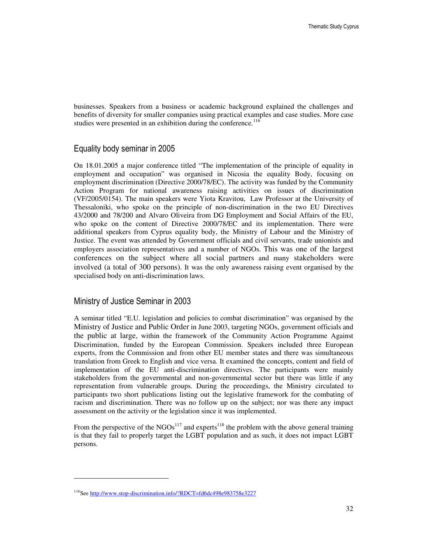businesses. Speakers from a business or academic background explained the challenges and benefits of diversity for smaller companies using practical examples and case studies. More case studies were presented in an exhibition during the conference.<sup>116</sup>

### Equality body seminar in 2005

On 18.01.2005 a major conference titled "The implementation of the principle of equality in employment and occupation" was organised in Nicosia the equality Body, focusing on employment discrimination (Directive 2000/78/EC). The activity was funded by the Community Action Program for national awareness raising activities on issues of discrimination (VF/2005/0154). The main speakers were Yiota Kravitou, Law Professor at the University of Thessaloniki, who spoke on the principle of non-discrimination in the two EU Directives 43/2000 and 78/200 and Alvaro Oliveira from DG Employment and Social Affairs of the EU, who spoke on the content of Directive 2000/78/EC and its implementation. There were additional speakers from Cyprus equality body, the Ministry of Labour and the Ministry of Justice. The event was attended by Government officials and civil servants, trade unionists and employers association representatives and a number of NGOs. This was one of the largest conferences on the subject where all social partners and many stakeholders were involved (a total of 300 persons). It was the only awareness raising event organised by the specialised body on anti-discrimination laws.

### Ministry of Justice Seminar in 2003

 $\ddot{ }$ 

A seminar titled "E.U. legislation and policies to combat discrimination" was organised by the Ministry of Justice and Public Order in June 2003, targeting NGOs, government officials and the public at large, within the framework of the Community Action Programme Against Discrimination, funded by the European Commission. Speakers included three European experts, from the Commission and from other EU member states and there was simultaneous translation from Greek to English and vice versa. It examined the concepts, content and field of implementation of the EU anti-discrimination directives. The participants were mainly stakeholders from the governmental and non-governmental sector but there was little if any representation from vulnerable groups. During the proceedings, the Ministry circulated to participants two short publications listing out the legislative framework for the combating of racism and discrimination. There was no follow up on the subject; nor was there any impact assessment on the activity or the legislation since it was implemented.

From the perspective of the NGOs<sup>117</sup> and experts<sup>118</sup> the problem with the above general training is that they fail to properly target the LGBT population and as such, it does not impact LGBT persons.

<sup>116</sup>See http://www.stop-discrimination.info/?RDCT=fd6dc498e983758e3227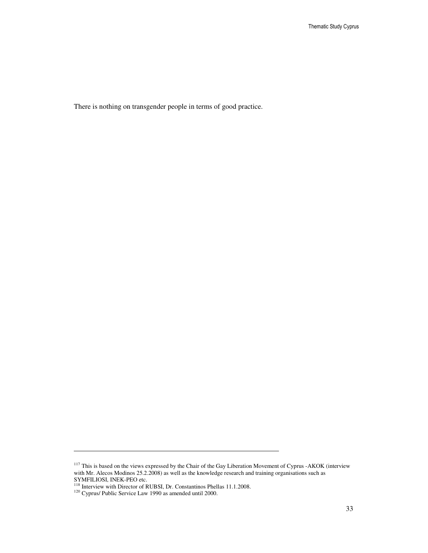There is nothing on transgender people in terms of good practice.

 $\overline{a}$ 

<sup>&</sup>lt;sup>117</sup> This is based on the views expressed by the Chair of the Gay Liberation Movement of Cyprus -AKOK (interview with Mr. Alecos Modinos 25.2.2008) as well as the knowledge research and training organisations such as SYMFILIOSI, INEK-PEO etc.

<sup>&</sup>lt;sup>118</sup> Interview with Director of RUBSI, Dr. Constantinos Phellas 11.1.2008.

 $120$  Cyprus/ Public Service Law 1990 as amended until 2000.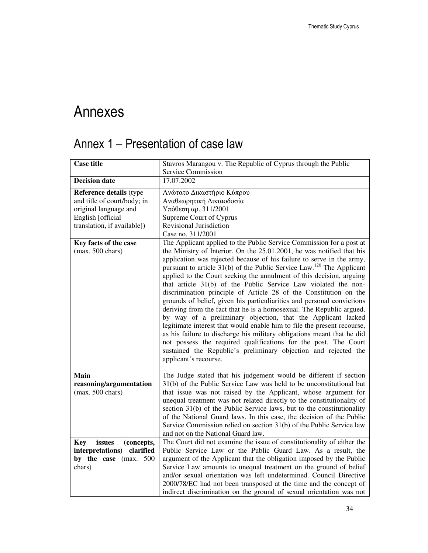# Annexes

## Annex 1 – Presentation of case law

| <b>Case title</b>                                                                                                                          | Stavros Marangou v. The Republic of Cyprus through the Public                                                                                                                                                                                                                                                                                                                                                                                                                                                                                                                                                                                                                                                                                                                                                                                                                                                                                                                                                                                                      |
|--------------------------------------------------------------------------------------------------------------------------------------------|--------------------------------------------------------------------------------------------------------------------------------------------------------------------------------------------------------------------------------------------------------------------------------------------------------------------------------------------------------------------------------------------------------------------------------------------------------------------------------------------------------------------------------------------------------------------------------------------------------------------------------------------------------------------------------------------------------------------------------------------------------------------------------------------------------------------------------------------------------------------------------------------------------------------------------------------------------------------------------------------------------------------------------------------------------------------|
|                                                                                                                                            | Service Commission                                                                                                                                                                                                                                                                                                                                                                                                                                                                                                                                                                                                                                                                                                                                                                                                                                                                                                                                                                                                                                                 |
| <b>Decision date</b>                                                                                                                       | 17.07.2002                                                                                                                                                                                                                                                                                                                                                                                                                                                                                                                                                                                                                                                                                                                                                                                                                                                                                                                                                                                                                                                         |
| <b>Reference details (type</b><br>and title of court/body; in<br>original language and<br>English [official<br>translation, if available]) | Ανώτατο Δικαστήριο Κύπρου<br>Αναθεωρητική Δικαιοδοσία<br>Υπόθεση αρ. 311/2001<br>Supreme Court of Cyprus<br>Revisional Jurisdiction<br>Case no. 311/2001                                                                                                                                                                                                                                                                                                                                                                                                                                                                                                                                                                                                                                                                                                                                                                                                                                                                                                           |
| Key facts of the case<br>$(max. 500 \text{ chars})$                                                                                        | The Applicant applied to the Public Service Commission for a post at<br>the Ministry of Interior. On the 25.01.2001, he was notified that his<br>application was rejected because of his failure to serve in the army,<br>pursuant to article $31(b)$ of the Public Service Law. <sup>120</sup> The Applicant<br>applied to the Court seeking the annulment of this decision, arguing<br>that article 31(b) of the Public Service Law violated the non-<br>discrimination principle of Article 28 of the Constitution on the<br>grounds of belief, given his particuliarities and personal convictions<br>deriving from the fact that he is a homosexual. The Republic argued,<br>by way of a preliminary objection, that the Applicant lacked<br>legitimate interest that would enable him to file the present recourse,<br>as his failure to discharge his military obligations meant that he did<br>not possess the required qualifications for the post. The Court<br>sustained the Republic's preliminary objection and rejected the<br>applicant's recourse. |
| <b>Main</b><br>reasoning/argumentation<br>(max. 500 chars)                                                                                 | The Judge stated that his judgement would be different if section<br>31(b) of the Public Service Law was held to be unconstitutional but<br>that issue was not raised by the Applicant, whose argument for<br>unequal treatment was not related directly to the constitutionality of<br>section 31(b) of the Public Service laws, but to the constitutionality<br>of the National Guard laws. In this case, the decision of the Public<br>Service Commission relied on section 31(b) of the Public Service law<br>and not on the National Guard law.                                                                                                                                                                                                                                                                                                                                                                                                                                                                                                               |
| issues<br><b>Key</b><br>(concepts,<br>interpretations) clarified<br>by the case (max. 500<br>chars)                                        | The Court did not examine the issue of constitutionality of either the<br>Public Service Law or the Public Guard Law. As a result, the<br>argument of the Applicant that the obligation imposed by the Public<br>Service Law amounts to unequal treatment on the ground of belief<br>and/or sexual orientation was left undetermined. Council Directive<br>2000/78/EC had not been transposed at the time and the concept of<br>indirect discrimination on the ground of sexual orientation was not                                                                                                                                                                                                                                                                                                                                                                                                                                                                                                                                                                |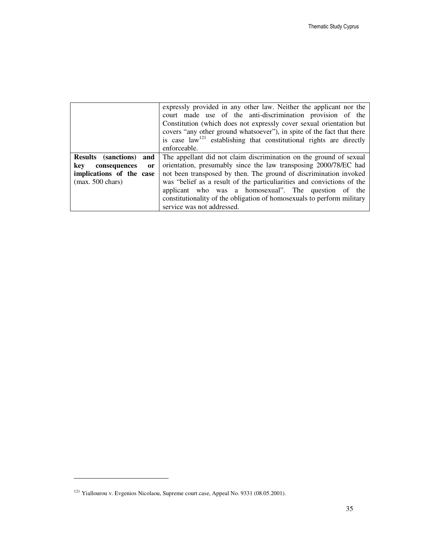|                                      | expressly provided in any other law. Neither the applicant nor the<br>court made use of the anti-discrimination provision of the<br>Constitution (which does not expressly cover sexual orientation but<br>covers "any other ground whatsoever"), in spite of the fact that there |
|--------------------------------------|-----------------------------------------------------------------------------------------------------------------------------------------------------------------------------------------------------------------------------------------------------------------------------------|
|                                      | is case $law121$ establishing that constitutional rights are directly<br>enforceable.                                                                                                                                                                                             |
|                                      |                                                                                                                                                                                                                                                                                   |
| <b>Results</b> (sanctions)<br>and    | The appellant did not claim discrimination on the ground of sexual                                                                                                                                                                                                                |
| kev<br>consequences<br><sub>or</sub> | orientation, presumably since the law transposing 2000/78/EC had                                                                                                                                                                                                                  |
| implications of the case             | not been transposed by then. The ground of discrimination invoked                                                                                                                                                                                                                 |
| $(max. 500 \text{ chars})$           | was "belief as a result of the particuliarities and convictions of the                                                                                                                                                                                                            |
|                                      | applicant who was a homosexual". The question of the                                                                                                                                                                                                                              |
|                                      | constitutionality of the obligation of homosexuals to perform military                                                                                                                                                                                                            |
|                                      | service was not addressed.                                                                                                                                                                                                                                                        |

<sup>121</sup> Yiallourou v. Evgenios Nicolaou, Supreme court case, Appeal No. 9331 (08.05.2001).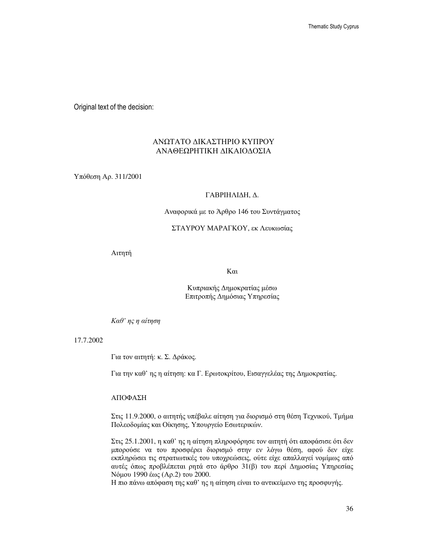Original text of the decision:

### ΑΝΩΤΑΤΟ ∆ΙΚΑΣΤΗΡΙΟ ΚΥΠΡΟΥ ΑΝΑΘΕΩΡΗΤΙΚΗ ∆ΙΚΑΙΟ∆ΟΣΙΑ

Υπόθεση Αρ. 311/2001

#### ΓΑΒΡΙΗΛΙ∆Η, ∆.

#### Αναφορικά µε το Άρθρο 146 του Συντάγµατος

#### ΣΤΑΥΡΟΥ ΜΑΡΑΓΚΟΥ, εκ Λευκωσίας

Αιτητή

Και

Κυπριακής ∆ηµοκρατίας µέσω Επιτροπής ∆ηµόσιας Υπηρεσίας

Καθ*'* ης η αίτηση

17.7.2002

Για τον αιτητή: κ. Σ. ∆ράκος.

Για την καθ' ης η αίτηση: κα Γ. Ερωτοκρίτου, Εισαγγελέας της ∆ηµοκρατίας.

ΑΠΟΦΑΣΗ

Στις 11.9.2000, ο αιτητής υπέβαλε αίτηση για διορισµό στη θέση Τεχνικού, Τµήµα Πολεοδοµίας και Οίκησης, Υπουργείο Εσωτερικών.

Στις 25.1.2001, η καθ' ης η αίτηση πληροφόρησε τον αιτητή ότι αποφάσισε ότι δεν µπορούσε να του προσφέρει διορισµό στην εν λόγω θέση, αφού δεν είχε εκπληρώσει τις στρατιωτικές του υποχρεώσεις, ούτε είχε απαλλαγεί νοµίµως από αυτές όπως προβλέπεται ρητά στο άρθρο 31(β) του περί ∆ηµοσίας Υπηρεσίας Νόµου 1990 έως (Αρ.2) του 2000.

Η πιο πάνω απόφαση της καθ' ης η αίτηση είναι το αντικείµενο της προσφυγής.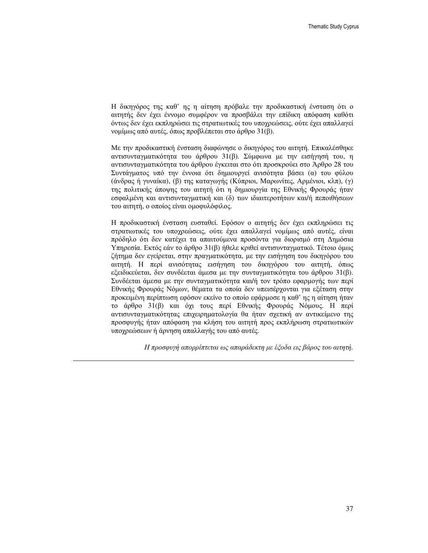Η δικηγόρος της καθ' ης η αίτηση πρόβαλε την προδικαστική ένσταση ότι ο αιτητής δεν έχει έννοµο συµφέρον να προσβάλει την επίδικη απόφαση καθότι όντως δεν έχει εκπληρώσει τις στρατιωτικές του υποχρεώσεις, ούτε έχει απαλλαγεί νοµίµως από αυτές, όπως προβλέπεται στο άρθρο 31(β).

Με την προδικαστική ένσταση διαφώνησε ο δικηγόρος του αιτητή. Επικαλέσθηκε αντισυνταγµατικότητα του άρθρου 31(β). Σύµφωνα µε την εισήγησή του, η αντισυνταγµατικότητα του άρθρου έγκειται στο ότι προσκρούει στο Άρθρο 28 του Συντάγµατος υπό την έννοια ότι δηµιουργεί ανισότητα βάσει (α) του φύλου (άνδρας ή γυναίκα), (β) της καταγωγής (Κύπριοι, Μαρωνίτες, Αρµένιοι, κλπ), (γ) της πολιτικής άποψης του αιτητή ότι η δηµιουργία της Εθνικής Φρουράς ήταν εσφαλµένη και αντισυνταγµατική και (δ) των ιδιαιτεροτήτων και/ή πεποιθήσεων του αιτητή, ο οποίος είναι οµοφυλόφιλος.

Η προδικαστική ένσταση ευσταθεί. Εφόσον ο αιτητής δεν έχει εκπληρώσει τις στρατιωτικές του υποχρεώσεις, ούτε έχει απαλλαγεί νοµίµως από αυτές, είναι πρόδηλο ότι δεν κατέχει τα απαιτούµενα προσόντα για διορισµό στη ∆ηµόσια Υπηρεσία. Εκτός εάν το άρθρο 31(β) ήθελε κριθεί αντισυνταγµατικό. Τέτοιο όµως ζήτηµα δεν εγείρεται, στην πραγµατικότητα, µε την εισήγηση του δικηγόρου του αιτητή. Η περί ανισότητας εισήγηση του δικηγόρου του αιτητή, όπως εξειδικεύεται, δεν συνδέεται άµεσα µε την συνταγµατικότητα του άρθρου 31(β). Συνδέεται άµεσα µε την συνταγµατικότητα και/ή τον τρόπο εφαρµογής των περί Εθνικής Φρουράς Νόµων, θέµατα τα οποία δεν υπεισέρχονται για εξέταση στην προκειµένη περίπτωση εφόσον εκείνο το οποίο εφάρµοσε η καθ' ης η αίτηση ήταν το άρθρο 31(β) και όχι τους περί Εθνικής Φρουράς Νόµους. Η περί αντισυνταγµατικότητας επιχειρηµατολογία θα ήταν σχετική αν αντικείµενο της προσφυγής ήταν απόφαση για κλήση του αιτητή προς εκπλήρωση στρατιωτικών υποχρεώσεων ή άρνηση απαλλαγής του από αυτές.

Η προσφυγή απορρίπτεται ως απαράδεκτη µε έξοδα εις βάρος του αιτητή*.*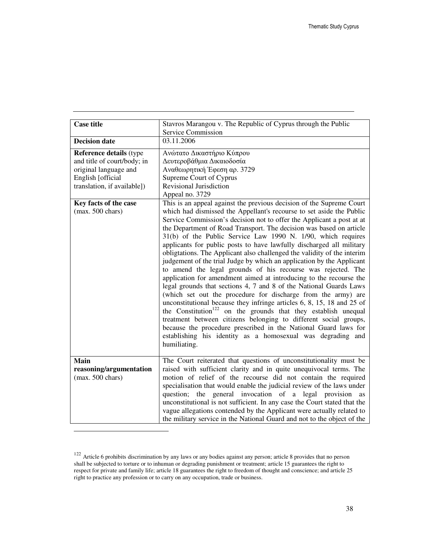| <b>Case title</b>                                                                                                                                                                                 | Stavros Marangou v. The Republic of Cyprus through the Public                                                                                                                                                                                                                                                                                                                                                                                                                                                                                                                                                                                                                                                                                                                                                                                                                                                                                                                                                                                                                                                     |
|---------------------------------------------------------------------------------------------------------------------------------------------------------------------------------------------------|-------------------------------------------------------------------------------------------------------------------------------------------------------------------------------------------------------------------------------------------------------------------------------------------------------------------------------------------------------------------------------------------------------------------------------------------------------------------------------------------------------------------------------------------------------------------------------------------------------------------------------------------------------------------------------------------------------------------------------------------------------------------------------------------------------------------------------------------------------------------------------------------------------------------------------------------------------------------------------------------------------------------------------------------------------------------------------------------------------------------|
|                                                                                                                                                                                                   | Service Commission                                                                                                                                                                                                                                                                                                                                                                                                                                                                                                                                                                                                                                                                                                                                                                                                                                                                                                                                                                                                                                                                                                |
| <b>Decision date</b>                                                                                                                                                                              | 03.11.2006                                                                                                                                                                                                                                                                                                                                                                                                                                                                                                                                                                                                                                                                                                                                                                                                                                                                                                                                                                                                                                                                                                        |
| <b>Reference details (type</b><br>and title of court/body; in<br>original language and<br>English [official<br>translation, if available])<br>Key facts of the case<br>$(max. 500 \text{ chars})$ | Ανώτατο Δικαστήριο Κύπρου<br>Δευτεροβάθμια Δικαιοδοσία<br>Αναθεωρητική Έφεση αρ. 3729<br>Supreme Court of Cyprus<br>Revisional Jurisdiction<br>Appeal no. 3729<br>This is an appeal against the previous decision of the Supreme Court<br>which had dismissed the Appellant's recourse to set aside the Public<br>Service Commission's decision not to offer the Applicant a post at at<br>the Department of Road Transport. The decision was based on article<br>31(b) of the Public Service Law 1990 N. 1/90, which requires<br>applicants for public posts to have lawfully discharged all military<br>obligtations. The Applicant also challenged the validity of the interim<br>judgement of the trial Judge by which an application by the Applicant<br>to amend the legal grounds of his recourse was rejected. The<br>application for amendment aimed at introducing to the recourse the<br>legal grounds that sections 4, 7 and 8 of the National Guards Laws<br>(which set out the procedure for discharge from the army) are<br>unconstitutional because they infringe articles 6, 8, 15, 18 and 25 of |
|                                                                                                                                                                                                   | the Constitution <sup>122</sup> on the grounds that they establish unequal<br>treatment between citizens belonging to different social groups,<br>because the procedure prescribed in the National Guard laws for<br>establishing his identity as a homosexual was degrading and<br>humiliating.                                                                                                                                                                                                                                                                                                                                                                                                                                                                                                                                                                                                                                                                                                                                                                                                                  |
| <b>Main</b><br>reasoning/argumentation<br>$(max. 500 \text{ chars})$                                                                                                                              | The Court reiterated that questions of unconstitutionality must be<br>raised with sufficient clarity and in quite unequivocal terms. The<br>motion of relief of the recourse did not contain the required<br>specialisation that would enable the judicial review of the laws under<br>question; the general invocation of a legal provision<br>as<br>unconstitutional is not sufficient. In any case the Court stated that the<br>vague allegations contended by the Applicant were actually related to<br>the military service in the National Guard and not to the object of the                                                                                                                                                                                                                                                                                                                                                                                                                                                                                                                               |

 $122$  Article 6 prohibits discrimination by any laws or any bodies against any person; article 8 provides that no person shall be subjected to torture or to inhuman or degrading punishment or treatment; article 15 guarantees the right to respect for private and family life; article 18 guarantees the right to freedom of thought and conscience; and article 25 right to practice any profession or to carry on any occupation, trade or business.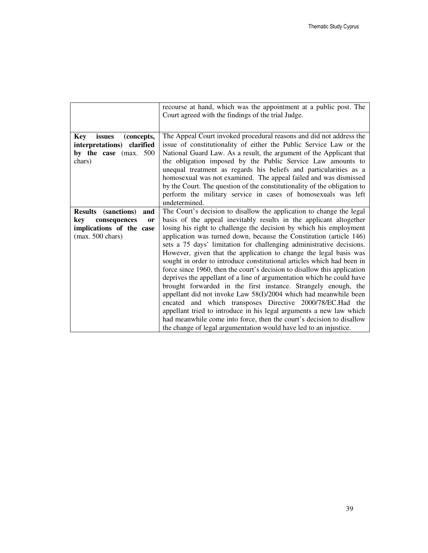|                                                                                                                                    | recourse at hand, which was the appointment at a public post. The<br>Court agreed with the findings of the trial Judge.                                                                                                                                                                                                                                                                                                                                                                                                                                                                                                                                                                                                                                                                                                                                                                                                                                                                                                                                                                    |
|------------------------------------------------------------------------------------------------------------------------------------|--------------------------------------------------------------------------------------------------------------------------------------------------------------------------------------------------------------------------------------------------------------------------------------------------------------------------------------------------------------------------------------------------------------------------------------------------------------------------------------------------------------------------------------------------------------------------------------------------------------------------------------------------------------------------------------------------------------------------------------------------------------------------------------------------------------------------------------------------------------------------------------------------------------------------------------------------------------------------------------------------------------------------------------------------------------------------------------------|
| issues<br>(concepts,<br><b>Key</b><br>interpretations)<br>clarified<br>by the case (max. 500<br>chars)                             | The Appeal Court invoked procedural reasons and did not address the<br>issue of constitutionality of either the Public Service Law or the<br>National Guard Law. As a result, the argument of the Applicant that<br>the obligation imposed by the Public Service Law amounts to<br>unequal treatment as regards his beliefs and particularities as a<br>homosexual was not examined. The appeal failed and was dismissed<br>by the Court. The question of the constitutionality of the obligation to<br>perform the military service in cases of homosexuals was left<br>undetermined.                                                                                                                                                                                                                                                                                                                                                                                                                                                                                                     |
| (sanctions)<br><b>Results</b><br>and<br>consequences<br>kev<br><b>or</b><br>implications of the case<br>$(max. 500 \text{ chars})$ | The Court's decision to disallow the application to change the legal<br>basis of the appeal inevitably results in the applicant altogether<br>losing his right to challenge the decision by which his employment<br>application was turned down, because the Constitution (article 146)<br>sets a 75 days' limitation for challenging administrative decisions.<br>However, given that the application to change the legal basis was<br>sought in order to introduce constitutional articles which had been in<br>force since 1960, then the court's decision to disallow this application<br>deprives the appellant of a line of argumentation which he could have<br>brought forwarded in the first instance. Strangely enough, the<br>appellant did not invoke Law 58(I)/2004 which had meanwhile been<br>encated and which transposes Directive 2000/78/EC.Had the<br>appellant tried to introduce in his legal arguments a new law which<br>had meanwhile come into force, then the court's decision to disallow<br>the change of legal argumentation would have led to an injustice. |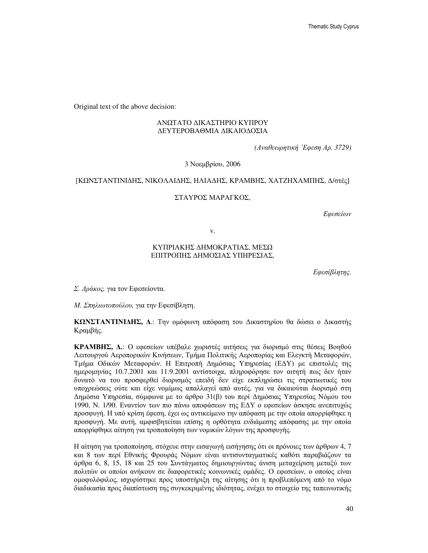Original text of the above decision:

### ΑΝΩΤΑΤΟ ∆ΙΚΑΣΤΗΡΙΟ ΚΥΠΡΟΥ ∆ΕΥΤΕΡΟΒΑΘΜΙΑ ∆ΙΚΑΙΟ∆ΟΣΙΑ

*(*Αναθεωρητική ΄Εφεση Αρ*. 3729)*

3 Νοεµβρίου, 2006

### [ΚΩΝΣΤΑΝΤΙΝΙ∆ΗΣ, ΝΙΚΟΛΑΙ∆ΗΣ, ΗΛΙΑ∆ΗΣ, ΚΡΑΜΒΗΣ, ΧΑΤΖΗΧΑΜΠΗΣ, ∆/στές]

#### ΣΤΑΥΡΟΣ ΜΑΡΑΓΚΟΣ,

Εφεσείων

v.

### ΚΥΠΡΙΑΚΗΣ ∆ΗΜΟΚΡΑΤΙΑΣ, ΜΕΣΩ ΕΠΙΤΡΟΠΗΣ ∆ΗΜΟΣΙΑΣ ΥΠΗΡΕΣΙΑΣ,

Εφεσίβλητης*.*

Σ*.* ∆ράκος*,* για τον Εφεσείοντα.

Μ*.* Σπηλιωτοπούλου*,* για την Εφεσίβλητη.

ΚΩΝΣΤΑΝΤΙΝΙ∆ΗΣ**,** ∆.: Την οµόφωνη απόφαση του ∆ικαστηρίου θα δώσει ο ∆ικαστής Κραµβής.

ΚΡΑΜΒΗΣ**,** ∆**.**: O εφεσείων υπέβαλε χωριστές αιτήσεις για διορισµό στις θέσεις Βοηθού Λειτουργού Αεροπορικών Κινήσεων, Τµήµα Πολιτικής Αεροπορίας και Ελεγκτή Μεταφορών, Τµήµα Οδικών Μεταφορών. Η Επιτροπή ∆ηµόσιας Υπηρεσίας (Ε∆Υ) µε επιστολές της ηµεροµηνίας 10.7.2001 και 11.9.2001 αντίστοιχα, πληροφόρησε τον αιτητή πως δεν ήταν δυνατό να του προσφερθεί διορισµός επειδή δεν είχε εκπληρώσει τις στρατιωτικές του υποχρεώσεις ούτε και είχε νοµίµως απαλλαγεί από αυτές, για να δικαιούται διορισµό στη ∆ηµόσια Υπηρεσία, σύµφωνα µε το άρθρο 31(β) του περί ∆ηµόσιας Υπηρεσίας Νόµου του 1990, Ν. 1/90. Εναντίον των πιο πάνω αποφάσεων της Ε∆Υ ο εφεσείων άσκησε ανεπιτυχώς προσφυγή. Η υπό κρίση έφεση, έχει ως αντικείµενο την απόφαση µε την οποία απορρίφθηκε η προσφυγή. Με αυτή, αµφισβητείται επίσης η ορθότητα ενδιάµεσης απόφασης µε την οποία απορρίφθηκε αίτηση για τροποποίηση των νοµικών λόγων της προσφυγής.

Η αίτηση για τροποποίηση, στόχευε στην εισαγωγή εισήγησης ότι οι πρόνοιες των άρθρων 4, 7 και 8 των περί Εθνικής Φρουράς Νόµων είναι αντισυνταγµατικές καθότι παραβιάζουν τα άρθρα 6, 8, 15, 18 και 25 του Συντάγµατος δηµιουργώντας άνιση µεταχείριση µεταξύ των πολιτών οι οποίοι ανήκουν σε διαφορετικές κοινωνικές οµάδες. Ο εφεσείων, ο οποίος είναι οµοφυλόφιλος, ισχυρίστηκε προς υποστήριξη της αίτησης ότι η προβλεπόµενη από το νόµο διαδικασία προς διαπίστωση της συγκεκριµένης ιδιότητας, ενέχει το στοιχείο της ταπεινωτικής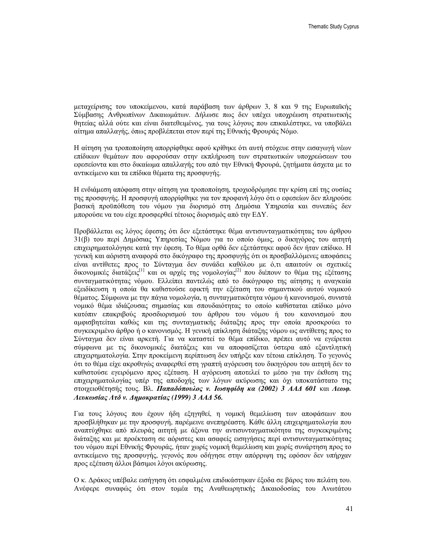µεταχείρισης του υποκείµενου, κατά παράβαση των άρθρων 3, 8 και 9 της Ευρωπαϊκής Σύµβασης Ανθρωπίνων ∆ικαιωµάτων. ∆ήλωσε πως δεν υπέχει υποχρέωση στρατιωτικής θητείας αλλά ούτε και είναι διατεθειµένος, για τους λόγους που επικαλέστηκε, να υποβάλει αίτηµα απαλλαγής, όπως προβλέπεται στον περί της Εθνικής Φρουράς Νόµο.

Η αίτηση για τροποποίηση απορρίφθηκε αφού κρίθηκε ότι αυτή στόχευε στην εισαγωγή νέων επίδικων θεµάτων που αφορούσαν στην εκπλήρωση των στρατιωτικών υποχρεώσεων του εφεσείοντα και στο δικαίωµα απαλλαγής του από την Εθνική Φρουρά, ζητήµατα άσχετα µε το αντικείµενο και τα επίδικα θέµατα της προσφυγής.

Η ενδιάµεση απόφαση στην αίτηση για τροποποίηση, τροχιοδρόµησε την κρίση επί της ουσίας της προσφυγής. Η προσφυγή απορρίφθηκε για τον προφανή λόγο ότι ο εφεσείων δεν πληρούσε βασική προϋπόθεση του νόµου για διορισµό στη ∆ηµόσια Υπηρεσία και συνεπώς δεν µπορούσε να του είχε προσφερθεί τέτοιος διορισµός από την Ε∆Υ.

Προβάλλεται ως λόγος έφεσης ότι δεν εξετάστηκε θέµα αντισυνταγµατικότητας του άρθρου 31(β) του περί ∆ηµόσιας Υπηρεσίας Νόµου για το οποίο όµως, ο δικηγόρος του αιτητή επιχειρηµατολόγησε κατά την έφεση. Το θέµα ορθά δεν εξετάστηκε αφού δεν ήταν επίδικο. Η γενική και αόριστη αναφορά στο δικόγραφο της προσφυγής ότι οι προσβαλλόµενες αποφάσεις είναι αντίθετες προς το Σύνταγµα δεν συνάδει καθόλου µε ό,τι απαιτούν οι σχετικές δικονομικές διατάξεις<sup>[1]</sup> και οι αρχές της νομολογίας<sup>[2]</sup> που διέπουν το θέμα της εξέτασης συνταγµατικότητας νόµου. Ελλείπει παντελώς από το δικόγραφο της αίτησης η αναγκαία εξειδίκευση η οποία θα καθιστούσε εφικτή την εξέταση του σηµαντικού αυτού νοµικού θέµατος. Σύµφωνα µε την πάγια νοµολογία, η συνταγµατικότητα νόµου ή κανονισµού, συνιστά νοµικό θέµα ιδιάζουσας σηµασίας και σπουδαιότητας το οποίο καθίσταται επίδικο µόνο κατόπιν επακριβούς προσδιορισµού του άρθρου του νόµου ή του κανονισµού που αµφισβητείται καθώς και της συνταγµατικής διάταξης προς την οποία προσκρούει το συγκεκριµένο άρθρο ή ο κανονισµός. Η γενική επίκληση διάταξης νόµου ως αντίθετης προς το Σύνταγµα δεν είναι αρκετή. Για να καταστεί το θέµα επίδικο, πρέπει αυτό να εγείρεται σύµφωνα µε τις δικονοµικές διατάξεις και να αποφασίζεται ύστερα από εξαντλητική επιχειρηµατολογία. Στην προκείµενη περίπτωση δεν υπήρξε καν τέτοια επίκληση. Το γεγονός ότι το θέµα είχε ακροθιγώς αναφερθεί στη γραπτή αγόρευση του δικηγόρου του αιτητή δεν το καθιστούσε εγειρόµενο προς εξέταση. Η αγόρευση αποτελεί το µέσο για την έκθεση της επιχειρηµατολογίας υπέρ της αποδοχής των λόγων ακύρωσης και όχι υποκατάστατο της στοιχειοθέτησής τους. Βλ. Παπαδόπουλος ν*.* Ιωσηφίδη κα *(2002) 3* ΑΑ∆ *601* και Λεωφ*.*  Λευκωσίας Λτδ ν*.* ∆ηµοκρατίας *(1999) 3* ΑΑ∆ *56.*

Για τους λόγους που έχουν ήδη εξηγηθεί, η νοµική θεµελίωση των αποφάσεων που προσβλήθηκαν µε την προσφυγή, παρέµεινε ανεπηρέαστη. Κάθε άλλη επιχειρηµατολογία που αναπτύχθηκε από πλευράς αιτητή µε άξονα την αντισυνταγµατικότητα της συγκεκριµένης διάταξης και µε προέκταση σε αόριστες και ασαφείς εισηγήσεις περί αντισυνταγµατικότητας του νόµου περί Εθνικής Φρουράς, ήταν χωρίς νοµική θεµελίωση και χωρίς συνάρτηση προς το αντικείµενο της προσφυγής, γεγονός που οδήγησε στην απόρριψη της εφόσον δεν υπήρχαν προς εξέταση άλλοι βάσιµοι λόγοι ακύρωσης.

Ο κ. ∆ράκος υπέβαλε εισήγηση ότι εσφαλµένα επιδικάστηκαν έξοδα σε βάρος του πελάτη του. Ανέφερε συναφώς ότι στον τοµέα της Αναθεωρητικής ∆ικαιοδοσίας του Ανωτάτου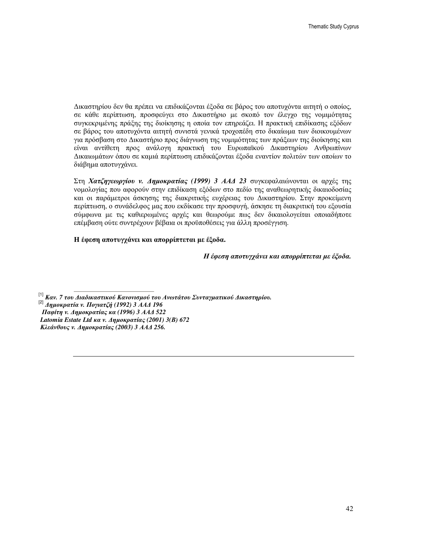∆ικαστηρίου δεν θα πρέπει να επιδικάζονται έξοδα σε βάρος του αποτυχόντα αιτητή ο οποίος, σε κάθε περίπτωση, προσφεύγει στο ∆ικαστήριο µε σκοπό τον έλεγχο της νοµιµότητας συγκεκριµένης πράξης της διοίκησης η οποία τον επηρεάζει. Η πρακτική επιδίκασης εξόδων σε βάρος του αποτυχόντα αιτητή συνιστά γενικά τροχοπέδη στο δικαίωµα των διοικουµένων για πρόσβαση στο ∆ικαστήριο προς διάγνωση της νοµιµότητας των πράξεων της διοίκησης και είναι αντίθετη προς ανάλογη πρακτική του Ευρωπαϊκού ∆ικαστηρίου Ανθρωπίνων ∆ικαιωµάτων όπου σε καµιά περίπτωση επιδικάζονται έξοδα εναντίον πολιτών των οποίων το διάβηµα αποτυγχάνει.

Στη Χατζηγεωργίου ν*.* ∆ηµοκρατίας *(1999) 3* ΑΑ∆ *23* συγκεφαλαιώνονται οι αρχές της νοµολογίας που αφορούν στην επιδίκαση εξόδων στο πεδίο της αναθεωρητικής δικαιοδοσίας και οι παράµετροι άσκησης της διακριτικής ευχέρειας του ∆ικαστηρίου. Στην προκείµενη περίπτωση, ο συνάδελφος µας που εκδίκασε την προσφυγή, άσκησε τη διακριτική του εξουσία σύµφωνα µε τις καθιερωµένες αρχές και θεωρούµε πως δεν δικαιολογείται οποιαδήποτε επέµβαση ούτε συντρέχουν βέβαια οι προϋποθέσεις για άλλη προσέγγιση.

Η έφεση αποτυγχάνει και απορρίπτεται µε έξοδα**.**

Η έφεση αποτυγχάνει και απορρίπτεται µε έξοδα*.*

[1] Καν*. 7* του ∆ιαδικαστικού Κανονισµού του Ανωτάτου Συνταγµατικού ∆ικαστηρίου*.* [2] ∆ηµοκρατία ν*.* Πογιατζή *(1992) 3* ΑΑ∆ *196* Παφίτη ν*.* ∆ηµοκρατίας κα *(1996) 3* ΑΑ∆ *522 Latomia Estate Ltd* κα ν*.* ∆ηµοκρατίας *(2001) 3(*Β*) 672* Κλεάνθους ν*.* ∆ηµοκρατίας *(2003) 3* ΑΑ∆ *256.*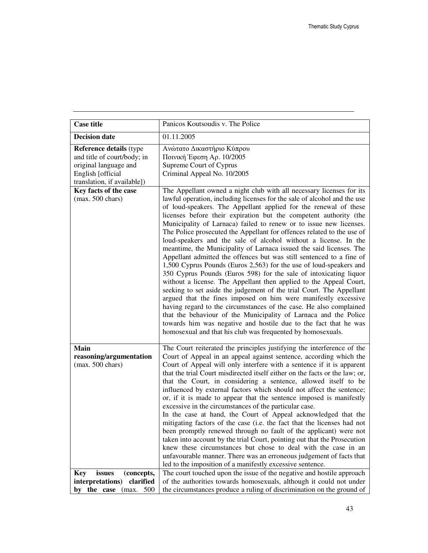| <b>Case title</b>                                                                                                                   | Panicos Koutsoudis v. The Police                                                                                                                                                                                                                                                                                                                                                                                                                                                                                                                                                                                                                                                                                                                                                                                                                                                                                                                                                                                                                                                                                                                                                                                                                                                                    |
|-------------------------------------------------------------------------------------------------------------------------------------|-----------------------------------------------------------------------------------------------------------------------------------------------------------------------------------------------------------------------------------------------------------------------------------------------------------------------------------------------------------------------------------------------------------------------------------------------------------------------------------------------------------------------------------------------------------------------------------------------------------------------------------------------------------------------------------------------------------------------------------------------------------------------------------------------------------------------------------------------------------------------------------------------------------------------------------------------------------------------------------------------------------------------------------------------------------------------------------------------------------------------------------------------------------------------------------------------------------------------------------------------------------------------------------------------------|
| <b>Decision date</b>                                                                                                                | 01.11.2005                                                                                                                                                                                                                                                                                                                                                                                                                                                                                                                                                                                                                                                                                                                                                                                                                                                                                                                                                                                                                                                                                                                                                                                                                                                                                          |
| Reference details (type<br>and title of court/body; in<br>original language and<br>English [official<br>translation, if available]) | Ανώτατο Δικαστήριο Κύπρου<br>Ποινική Έφεση Αρ. 10/2005<br>Supreme Court of Cyprus<br>Criminal Appeal No. 10/2005                                                                                                                                                                                                                                                                                                                                                                                                                                                                                                                                                                                                                                                                                                                                                                                                                                                                                                                                                                                                                                                                                                                                                                                    |
| Key facts of the case<br>$(max. 500 \text{ chars})$                                                                                 | The Appellant owned a night club with all necessary licenses for its<br>lawful operation, including licenses for the sale of alcohol and the use<br>of loud-speakers. The Appellant applied for the renewal of these<br>licenses before their expiration but the competent authority (the<br>Municipality of Larnaca) failed to renew or to issue new licenses.<br>The Police prosecuted the Appellant for offences related to the use of<br>loud-speakers and the sale of alcohol without a license. In the<br>meantime, the Municipality of Larnaca issued the said licenses. The<br>Appellant admitted the offences but was still sentenced to a fine of<br>1,500 Cyprus Pounds (Euros 2,563) for the use of loud-speakers and<br>350 Cyprus Pounds (Euros 598) for the sale of intoxicating liquor<br>without a license. The Appellant then applied to the Appeal Court,<br>seeking to set aside the judgement of the trial Court. The Appellant<br>argued that the fines imposed on him were manifestly excessive<br>having regard to the circumstances of the case. He also complained<br>that the behaviour of the Municipality of Larnaca and the Police<br>towards him was negative and hostile due to the fact that he was<br>homosexual and that his club was frequented by homosexuals. |
| <b>Main</b><br>reasoning/argumentation<br>$(max. 500 \text{ chars})$                                                                | The Court reiterated the principles justifying the interference of the<br>Court of Appeal in an appeal against sentence, according which the<br>Court of Appeal will only interfere with a sentence if it is apparent<br>that the trial Court misdirected itself either on the facts or the law; or,<br>that the Court, in considering a sentence, allowed itself to be<br>influenced by external factors which should not affect the sentence;<br>or, if it is made to appear that the sentence imposed is manifestly<br>excessive in the circumstances of the particular case.<br>In the case at hand, the Court of Appeal acknowledged that the<br>mitigating factors of the case (i.e. the fact that the licenses had not<br>been promptly renewed through no fault of the applicant) were not<br>taken into account by the trial Court, pointing out that the Prosecution<br>knew these circumstances but chose to deal with the case in an<br>unfavourable manner. There was an erroneous judgement of facts that<br>led to the imposition of a manifestly excessive sentence.                                                                                                                                                                                                                |
| issues<br><b>Key</b><br>(concepts,<br>interpretations)<br>clarified<br>by the case<br>(max.<br>500                                  | The court touched upon the issue of the negative and hostile approach<br>of the authorities towards homosexuals, although it could not under<br>the circumstances produce a ruling of discrimination on the ground of                                                                                                                                                                                                                                                                                                                                                                                                                                                                                                                                                                                                                                                                                                                                                                                                                                                                                                                                                                                                                                                                               |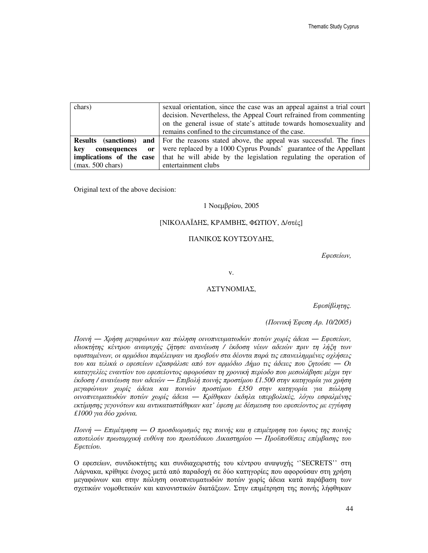| chars)                     | sexual orientation, since the case was an appeal against a trial court<br>decision. Nevertheless, the Appeal Court refrained from commenting<br>on the general issue of state's attitude towards homosexuality and<br>remains confined to the circumstance of the case. |
|----------------------------|-------------------------------------------------------------------------------------------------------------------------------------------------------------------------------------------------------------------------------------------------------------------------|
| <b>Results</b> (sanctions) | <b>and</b>   For the reasons stated above, the appeal was successful. The fines                                                                                                                                                                                         |
| kev<br>consequences<br>or  | were replaced by a 1000 Cyprus Pounds' guarantee of the Appellant                                                                                                                                                                                                       |
| implications of the case   | that he will abide by the legislation regulating the operation of                                                                                                                                                                                                       |
| $(max. 500 \text{ chars})$ | entertainment clubs                                                                                                                                                                                                                                                     |

Original text of the above decision:

#### 1 Νοεµβρίου, 2005

### [ΝΙΚΟΛΑΪ∆ΗΣ, ΚΡΑΜΒΗΣ, ΦΩΤΙΟΥ, ∆/στές]

#### ΠΑΝΙΚΟΣ ΚΟΥΤΣΟΥ∆ΗΣ,

Εφεσείων*,*

v.

### ΑΣΤΥΝΟΜΙΑΣ,

Εφεσίβλητης*.*

*(*Ποινική Έφεση Αρ*. 10/2005)*

Ποινή ― Χρήση µεγαφώνων και πώληση οινοπνευµατωδών ποτών χωρίς άδεια ― Εφεσείων*,*  ιδιοκτήτης κέντρου αναψυχής ζήτησε ανανέωση */* έκδοση νέων αδειών πριν τη λήξη των υφισταµένων*,* οι αρµόδιοι παρέλειψαν να προβούν στα δέοντα παρά τις επανειληµµένες οχλήσεις του και τελικά ο εφεσείων εξασφάλισε από τον αρµόδιο ∆ήµο τις άδειες που ζητούσε ― Οι καταγγελίες εναντίον του εφεσείοντος αφορούσαν τη χρονική περίοδο που µεσολάβησε µέχρι την έκδοση */* ανανέωση των αδειών ― Επιβολή ποινής προστίµου *£1.500* στην κατηγορία για χρήση µεγαφώνων χωρίς άδεια και ποινών προστίµου *£350* στην κατηγορία για πώληση οινοπνευµατωδών ποτών χωρίς άδεια ― Κρίθηκαν έκδηλα υπερβολικές*,* λόγω εσφαλµένης εκτίµησης γεγονότων και αντικαταστάθηκαν κατ*'* έφεση µε δέσµευση του εφεσείοντος µε εγγύηση *£1000* για δύο χρόνια*.*

Ποινή ― Επιµέτρηση ― Ο προσδιορισµός της ποινής και η επιµέτρηση του ύψους της ποινής αποτελούν πρωταρχική ευθύνη του πρωτόδικου ∆ικαστηρίου ― Προϋποθέσεις επέµβασης του Εφετείου*.*

Ο εφεσείων, συνιδιοκτήτης και συνδιαχειριστής του κέντρου αναψυχής ''SECRETS'' στη Λάρνακα, κρίθηκε ένοχος µετά από παραδοχή σε δύο κατηγορίες που αφορούσαν στη χρήση µεγαφώνων και στην πώληση οινοπνευµατωδών ποτών χωρίς άδεια κατά παράβαση των σχετικών νοµοθετικών και κανονιστικών διατάξεων. Στην επιµέτρηση της ποινής λήφθηκαν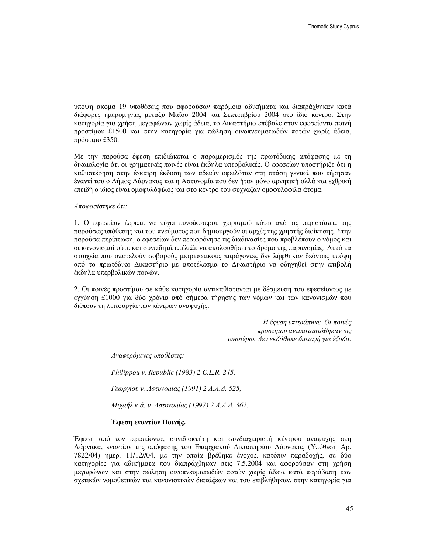υπόψη ακόµα 19 υποθέσεις που αφορούσαν παρόµοια αδικήµατα και διαπράχθηκαν κατά διάφορες ηµεροµηνίες µεταξύ Μαΐου 2004 και Σεπτεµβρίου 2004 στο ίδιο κέντρο. Στην κατηγορία για χρήση µεγαφώνων χωρίς άδεια, το ∆ικαστήριο επέβαλε στον εφεσείοντα ποινή προστίµου £1500 και στην κατηγορία για πώληση οινοπνευµατωδών ποτών χωρίς άδεια, πρόστιµο £350.

Με την παρούσα έφεση επιδιώκεται ο παραµερισµός της πρωτόδικης απόφασης µε τη δικαιολογία ότι οι χρηµατικές ποινές είναι έκδηλα υπερβολικές. Ο εφεσείων υποστήριξε ότι η καθυστέρηση στην έγκαιρη έκδοση των αδειών οφειλόταν στη στάση γενικά που τήρησαν έναντί του ο ∆ήµος Λάρνακας και η Αστυνοµία που δεν ήταν µόνο αρνητική αλλά και εχθρική επειδή ο ίδιος είναι οµοφυλόφιλος και στο κέντρο του σύχναζαν οµοφυλόφιλα άτοµα.

#### Αποφασίστηκε ότι*:*

1. Ο εφεσείων έπρεπε να τύχει ευνοϊκότερου χειρισµού κάτω από τις περιστάσεις της παρούσας υπόθεσης και του πνεύµατος που δηµιουργούν οι αρχές της χρηστής διοίκησης. Στην παρούσα περίπτωση, ο εφεσείων δεν περιφρόνησε τις διαδικασίες που προβλέπουν ο νόµος και οι κανονισµοί ούτε και συνειδητά επέλεξε να ακολουθήσει το δρόµο της παρανοµίας. Αυτά τα στοιχεία που αποτελούν σοβαρούς µετριαστικούς παράγοντες δεν λήφθηκαν δεόντως υπόψη από το πρωτόδικο ∆ικαστήριο µε αποτέλεσµα το ∆ικαστήριο να οδηγηθεί στην επιβολή έκδηλα υπερβολικών ποινών.

2. Οι ποινές προστίµου σε κάθε κατηγορία αντικαθίστανται µε δέσµευση του εφεσείοντος µε εγγύηση £1000 για δύο χρόνια από σήµερα τήρησης των νόµων και των κανονισµών που διέπουν τη λειτουργία των κέντρων αναψυχής.

> Η έφεση επιτράπηκε*.* Οι ποινές προστίµου αντικαταστάθηκαν ως ανωτέρω*.* ∆εν εκδόθηκε διαταγή για έξοδα*.*

Αναφερόµενες υποθέσεις*:*

*Philippou v. Republic (1983) 2 C.L.R. 245,*

Γεωργίου ν*.* Αστυνοµίας *(1991) 2* Α*.*Α*.*∆*. 525,*

Μιχαήλ κ*.*ά*.* ν*.* Αστυνοµίας *(1997) 2* Α*.*Α*.*∆*. 362.*

#### Έφεση εναντίον Ποινής**.**

Έφεση από τον εφεσείοντα, συνιδιοκτήτη και συνδιαχειριστή κέντρου αναψυχής στη Λάρνακα, εναντίον της απόφασης του Επαρχιακού ∆ικαστηρίου Λάρνακας (Υπόθεση Αρ. 7822/04) ηµερ. 11/12//04, µε την οποία βρέθηκε ένοχος, κατόπιν παραδοχής, σε δύο κατηγορίες για αδικήµατα που διαπράχθηκαν στις 7.5.2004 και αφορούσαν στη χρήση µεγαφώνων και στην πώληση οινοπνευµατωδών ποτών χωρίς άδεια κατά παράβαση των σχετικών νοµοθετικών και κανονιστικών διατάξεων και του επιβλήθηκαν, στην κατηγορία για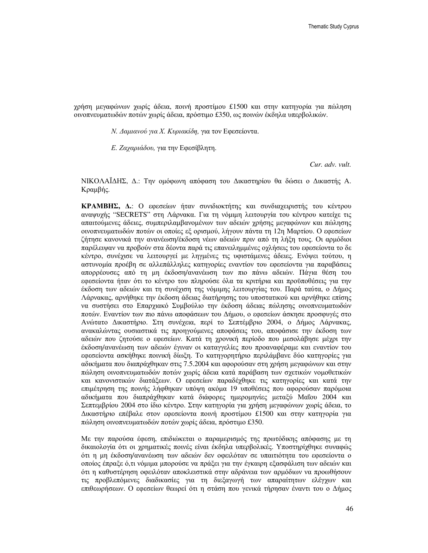χρήση µεγαφώνων χωρίς άδεια, ποινή προστίµου £1500 και στην κατηγορία για πώληση οινοπνευµατωδών ποτών χωρίς άδεια, πρόστιµο £350, ως ποινών έκδηλα υπερβολικών.

Ν*.* ∆αµιανού για Χ*.* Κυριακίδη*,* για τον Εφεσείοντα.

Ε*.* Ζαχαριάδου*,* για την Εφεσίβλητη.

*Cur. adv. vult.*

ΝΙΚΟΛΑΪ∆ΗΣ, ∆.: Την οµόφωνη απόφαση του ∆ικαστηρίου θα δώσει ο ∆ικαστής Α. Κραµβής.

ΚΡΑΜΒΗΣ**,** ∆**.**: Ο εφεσείων ήταν συνιδιοκτήτης και συνδιαχειριστής του κέντρου αναψυχής "SECRETS" στη Λάρνακα. Για τη νόµιµη λειτουργία του κέντρου κατείχε τις απαιτούµενες άδειες, συµπεριλαµβανοµένων των αδειών χρήσης µεγαφώνων και πώλησης οινοπνευµατωδών ποτών οι οποίες εξ ορισµού, λήγουν πάντα τη 12η Μαρτίου. Ο εφεσείων ζήτησε κανονικά την ανανέωση/έκδοση νέων αδειών πριν από τη λήξη τους. Οι αρµόδιοι παρέλειψαν να προβούν στα δέοντα παρά τις επανειληµµένες οχλήσεις του εφεσείοντα το δε κέντρο, συνέχισε να λειτουργεί µε ληγµένες τις υφιστάµενες άδειες. Ενόψει τούτου, η αστυνοµία προέβη σε αλλεπάλληλες κατηγορίες εναντίον του εφεσείοντα για παραβάσεις απορρέουσες από τη µη έκδοση/ανανέωση των πιο πάνω αδειών. Πάγια θέση του εφεσείοντα ήταν ότι το κέντρο του πληρούσε όλα τα κριτήρια και προϋποθέσεις για την έκδοση των αδειών και τη συνέχιση της νόµιµης λειτουργίας του. Παρά ταύτα, ο ∆ήµος Λάρνακας, αρνήθηκε την έκδοση άδειας διατήρησης του υποστατικού και αρνήθηκε επίσης να συστήσει στο Επαρχιακό Συµβούλιο την έκδοση άδειας πώλησης οινοπνευµατωδών ποτών. Εναντίον των πιο πάνω αποφάσεων του ∆ήµου, ο εφεσείων άσκησε προσφυγές στο Ανώτατο ∆ικαστήριο. Στη συνέχεια, περί το Σεπτέµβριο 2004, ο ∆ήµος Λάρνακας, ανακαλώντας ουσιαστικά τις προηγούµενες αποφάσεις του, αποφάσισε την έκδοση των αδειών που ζητούσε ο εφεσείων. Κατά τη χρονική περίοδο που µεσολάβησε µέχρι την έκδοση/ανανέωση των αδειών έγιναν οι καταγγελίες που προαναφέραµε και εναντίον του εφεσείοντα ασκήθηκε ποινική δίωξη. Το κατηγορητήριο περιλάµβανε δύο κατηγορίες για αδικήµατα που διαπράχθηκαν στις 7.5.2004 και αφορούσαν στη χρήση µεγαφώνων και στην πώληση οινοπνευµατωδών ποτών χωρίς άδεια κατά παράβαση των σχετικών νοµοθετικών και κανονιστικών διατάξεων. Ο εφεσείων παραδέχθηκε τις κατηγορίες και κατά την επιµέτρηση της ποινής λήφθηκαν υπόψη ακόµα 19 υποθέσεις που αφορούσαν παρόµοια αδικήµατα που διαπράχθηκαν κατά διάφορες ηµεροµηνίες µεταξύ Μαΐου 2004 και Σεπτεµβρίου 2004 στο ίδιο κέντρο. Στην κατηγορία για χρήση µεγαφώνων χωρίς άδεια, το ∆ικαστήριο επέβαλε στον εφεσείοντα ποινή προστίµου £1500 και στην κατηγορία για πώληση οινοπνευµατωδών ποτών χωρίς άδεια, πρόστιµο £350.

Με την παρούσα έφεση, επιδιώκεται ο παραµερισµός της πρωτόδικης απόφασης µε τη δικαιολογία ότι οι χρηµατικές ποινές είναι έκδηλα υπερβολικές. Υποστηρίχθηκε συναφώς ότι η µη έκδοση/ανανέωση των αδειών δεν οφειλόταν σε υπαιτιότητα του εφεσείοντα ο οποίος έπραξε ό,τι νόµιµα µπορούσε να πράξει για την έγκαιρη εξασφάλιση των αδειών και ότι η καθυστέρηση οφειλόταν αποκλειστικά στην αδράνεια των αρµόδιων να προωθήσουν τις προβλεπόµενες διαδικασίες για τη διεξαγωγή των απαραίτητων ελέγχων και επιθεωρήσεων. Ο εφεσείων θεωρεί ότι η στάση που γενικά τήρησαν έναντι του ο ∆ήµος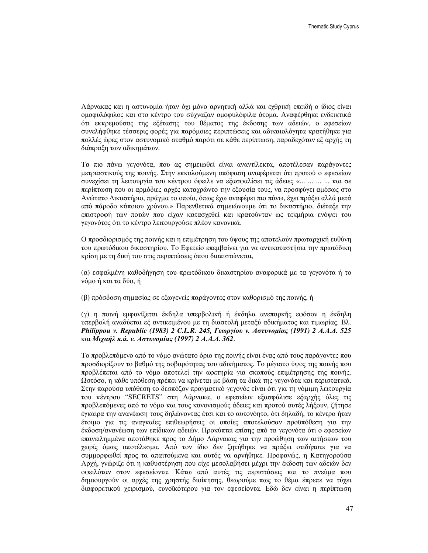Λάρνακας και η αστυνοµία ήταν όχι µόνο αρνητική αλλά και εχθρική επειδή ο ίδιος είναι οµοφυλόφιλος και στο κέντρο του σύχναζαν οµοφυλόφιλα άτοµα. Αναφέρθηκε ενδεικτικά ότι εκκρεµούσας της εξέτασης του θέµατος της έκδοσης των αδειών, ο εφεσείων συνελήφθηκε τέσσερις φορές για παρόµοιες περιπτώσεις και αδικαιολόγητα κρατήθηκε για πολλές ώρες στον αστυνοµικό σταθµό παρότι σε κάθε περίπτωση, παραδεχόταν εξ αρχής τη διάπραξη των αδικηµάτων.

Τα πιο πάνω γεγονότα, που ας σηµειωθεί είναι αναντίλεκτα, αποτέλεσαν παράγοντες µετριαστικούς της ποινής. Στην εκκαλούµενη απόφαση αναφέρεται ότι προτού ο εφεσείων συνεχίσει τη λειτουργία του κέντρου όφειλε να εξασφαλίσει τις άδειες «... ... ... ... και σε περίπτωση που οι αρµόδιες αρχές καταχρώντο την εξουσία τους, να προσφύγει αµέσως στο Ανώτατο ∆ικαστήριο, πράγµα το οποίο, όπως έχω αναφέρει πιο πάνω, έχει πράξει αλλά µετά από πάροδο κάποιου χρόνου.» Παρενθετικά σηµειώνουµε ότι το δικαστήριο, διέταξε την επιστροφή των ποτών που είχαν κατασχεθεί και κρατούνταν ως τεκµήρια ενόψει του γεγονότος ότι το κέντρο λειτουργούσε πλέον κανονικά.

Ο προσδιορισµός της ποινής και η επιµέτρηση του ύψους της αποτελούν πρωταρχική ευθύνη του πρωτόδικου δικαστηρίου. Το Εφετείο επεµβαίνει για να αντικαταστήσει την πρωτόδικη κρίση µε τη δική του στις περιπτώσεις όπου διαπιστώνεται,

(α) εσφαλµένη καθοδήγηση του πρωτόδικου δικαστηρίου αναφορικά µε τα γεγονότα ή το νόµο ή και τα δύο, ή

(β) πρόσδοση σηµασίας σε εξωγενείς παράγοντες στον καθορισµό της ποινής, ή

(γ) η ποινή εµφανίζεται έκδηλα υπερβολική ή έκδηλα ανεπαρκής εφόσον η έκδηλη υπερβολή αναδύεται εξ αντικειµένου µε τη διαστολή µεταξύ αδικήµατος και τιµωρίας. Βλ. *Philippou v. Republic (1983) 2 C.L.R. 245,* Γεωργίου ν*.* Αστυνοµίας *(1991) 2* Α*.*Α*.*∆*. 525*  και Μιχαήλ κ*.*ά*.* ν*.* Αστυνοµίας *(1997) 2* Α*.*Α*.*∆*. 362*.

Το προβλεπόµενο από το νόµο ανώτατο όριο της ποινής είναι ένας από τους παράγοντες που προσδιορίζουν το βαθµό της σοβαρότητας του αδικήµατος. Το µέγιστο ύψος της ποινής που προβλέπεται από το νόµο αποτελεί την αφετηρία για σκοπούς επιµέτρησης της ποινής. Ωστόσο, η κάθε υπόθεση πρέπει να κρίνεται µε βάση τα δικά της γεγονότα και περιστατικά. Στην παρούσα υπόθεση το δεσπόζον πραγµατικό γεγονός είναι ότι για τη νόµιµη λειτουργία του κέντρου "SECRETS" στη Λάρνακα, ο εφεσείων εξασφάλισε εξαρχής όλες τις προβλεπόµενες από το νόµο και τους κανονισµούς άδειες και προτού αυτές λήξουν, ζήτησε έγκαιρα την ανανέωση τους δηλώνοντας έτσι και το αυτονόητο, ότι δηλαδή, το κέντρο ήταν έτοιμο για τις αναγκαίες επιθεωρήσεις οι οποίες αποτελούσαν προϋπόθεση για την έκδοση/ανανέωση των επίδικων αδειών. Προκύπτει επίσης από τα γεγονότα ότι ο εφεσείων επανειληµµένα αποτάθηκε προς το ∆ήµο Λάρνακας για την προώθηση των αιτήσεων του χωρίς όµως αποτέλεσµα. Από τον ίδιο δεν ζητήθηκε να πράξει οτιδήποτε για να συµµορφωθεί προς τα απαιτούµενα και αυτός να αρνήθηκε. Προφανώς, η Κατηγορούσα Αρχή, γνώριζε ότι η καθυστέρηση που είχε µεσολαβήσει µέχρι την έκδοση των αδειών δεν οφειλόταν στον εφεσείοντα. Κάτω από αυτές τις περιστάσεις και το πνεύµα που δηµιουργούν οι αρχές της χρηστής διοίκησης, θεωρούµε πως το θέµα έπρεπε να τύχει διαφορετικού χειρισµού, ευνοϊκότερου για τον εφεσείοντα. Εδώ δεν είναι η περίπτωση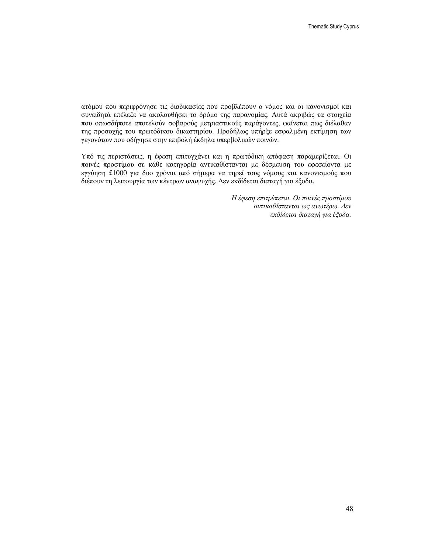ατόµου που περιφρόνησε τις διαδικασίες που προβλέπουν ο νόµος και οι κανονισµοί και συνειδητά επέλεξε να ακολουθήσει το δρόµο της παρανοµίας. Αυτά ακριβώς τα στοιχεία που οπωσδήποτε αποτελούν σοβαρούς µετριαστικούς παράγοντες, φαίνεται πως διέλαθαν της προσοχής του πρωτόδικου δικαστηρίου. Προδήλως υπήρξε εσφαλµένη εκτίµηση των γεγονότων που οδήγησε στην επιβολή έκδηλα υπερβολικών ποινών.

Υπό τις περιστάσεις, η έφεση επιτυγχάνει και η πρωτόδικη απόφαση παραµερίζεται. Οι ποινές προστίµου σε κάθε κατηγορία αντικαθίστανται µε δέσµευση του εφεσείοντα µε εγγύηση £1000 για δυο χρόνια από σήµερα να τηρεί τους νόµους και κανονισµούς που διέπουν τη λειτουργία των κέντρων αναψυχής. ∆εν εκδίδεται διαταγή για έξοδα.

> Η έφεση επιτρέπεται*.* Οι ποινές προστίµου αντικαθίστανται ως ανωτέρω*.* ∆εν εκδίδεται διαταγή για έξοδα*.*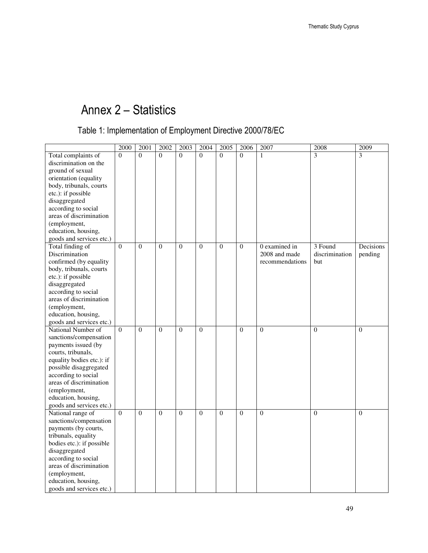# Annex 2 – Statistics

## Table 1: Implementation of Employment Directive 2000/78/EC

|                           | 2000         | 2001           | 2002           | 2003           | 2004         | 2005           | 2006           | 2007            | 2008           | 2009         |
|---------------------------|--------------|----------------|----------------|----------------|--------------|----------------|----------------|-----------------|----------------|--------------|
| Total complaints of       | $\Omega$     | $\Omega$       | $\Omega$       | $\theta$       | $\theta$     | $\Omega$       | $\Omega$       | 1               | 3              | 3            |
| discrimination on the     |              |                |                |                |              |                |                |                 |                |              |
| ground of sexual          |              |                |                |                |              |                |                |                 |                |              |
| orientation (equality     |              |                |                |                |              |                |                |                 |                |              |
| body, tribunals, courts   |              |                |                |                |              |                |                |                 |                |              |
| etc.): if possible        |              |                |                |                |              |                |                |                 |                |              |
| disaggregated             |              |                |                |                |              |                |                |                 |                |              |
| according to social       |              |                |                |                |              |                |                |                 |                |              |
| areas of discrimination   |              |                |                |                |              |                |                |                 |                |              |
| (employment,              |              |                |                |                |              |                |                |                 |                |              |
| education, housing,       |              |                |                |                |              |                |                |                 |                |              |
| goods and services etc.)  |              |                |                |                |              |                |                |                 |                |              |
| Total finding of          | $\Omega$     | $\Omega$       | $\theta$       | $\theta$       | $\theta$     | $\overline{0}$ | $\Omega$       | $0$ examined in | 3 Found        | Decisions    |
| Discrimination            |              |                |                |                |              |                |                | 2008 and made   | discrimination | pending      |
| confirmed (by equality    |              |                |                |                |              |                |                | recommendations | but            |              |
| body, tribunals, courts   |              |                |                |                |              |                |                |                 |                |              |
| etc.): if possible        |              |                |                |                |              |                |                |                 |                |              |
| disaggregated             |              |                |                |                |              |                |                |                 |                |              |
| according to social       |              |                |                |                |              |                |                |                 |                |              |
| areas of discrimination   |              |                |                |                |              |                |                |                 |                |              |
| (employment,              |              |                |                |                |              |                |                |                 |                |              |
| education, housing,       |              |                |                |                |              |                |                |                 |                |              |
| goods and services etc.)  |              |                |                |                |              |                |                |                 |                |              |
| National Number of        | $\mathbf{0}$ | $\overline{0}$ | $\overline{0}$ | $\overline{0}$ | $\mathbf{0}$ |                | $\overline{0}$ | $\overline{0}$  | $\theta$       | $\mathbf{0}$ |
| sanctions/compensation    |              |                |                |                |              |                |                |                 |                |              |
| payments issued (by       |              |                |                |                |              |                |                |                 |                |              |
| courts, tribunals,        |              |                |                |                |              |                |                |                 |                |              |
| equality bodies etc.): if |              |                |                |                |              |                |                |                 |                |              |
| possible disaggregated    |              |                |                |                |              |                |                |                 |                |              |
| according to social       |              |                |                |                |              |                |                |                 |                |              |
| areas of discrimination   |              |                |                |                |              |                |                |                 |                |              |
| (employment,              |              |                |                |                |              |                |                |                 |                |              |
| education, housing,       |              |                |                |                |              |                |                |                 |                |              |
| goods and services etc.)  |              |                |                |                |              |                |                |                 |                |              |
| National range of         | $\theta$     | $\Omega$       | $\theta$       | $\theta$       | $\theta$     | $\theta$       | $\theta$       | $\theta$        | $\Omega$       | $\theta$     |
| sanctions/compensation    |              |                |                |                |              |                |                |                 |                |              |
| payments (by courts,      |              |                |                |                |              |                |                |                 |                |              |
| tribunals, equality       |              |                |                |                |              |                |                |                 |                |              |
| bodies etc.): if possible |              |                |                |                |              |                |                |                 |                |              |
| disaggregated             |              |                |                |                |              |                |                |                 |                |              |
| according to social       |              |                |                |                |              |                |                |                 |                |              |
| areas of discrimination   |              |                |                |                |              |                |                |                 |                |              |
| (employment,              |              |                |                |                |              |                |                |                 |                |              |
| education, housing,       |              |                |                |                |              |                |                |                 |                |              |
| goods and services etc.)  |              |                |                |                |              |                |                |                 |                |              |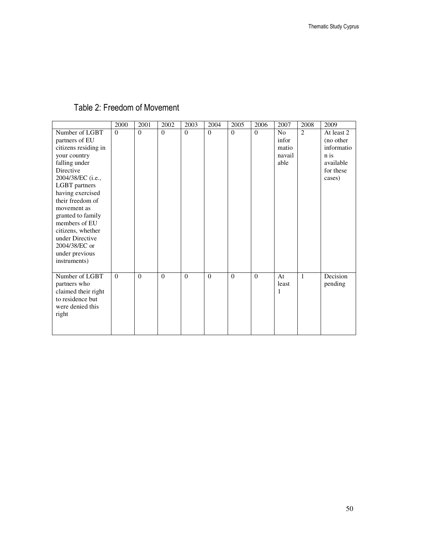### Table 2: Freedom of Movement

|                                                                                                                                                                                                                                                                                                                                      | 2000     | 2001     | 2002     | 2003           | 2004     | 2005     | 2006     | 2007                                               | 2008         | 2009                                                                              |
|--------------------------------------------------------------------------------------------------------------------------------------------------------------------------------------------------------------------------------------------------------------------------------------------------------------------------------------|----------|----------|----------|----------------|----------|----------|----------|----------------------------------------------------|--------------|-----------------------------------------------------------------------------------|
| Number of LGBT<br>partners of EU<br>citizens residing in<br>your country<br>falling under<br>Directive<br>2004/38/EC (i.e.,<br>LGBT partners<br>having exercised<br>their freedom of<br>movement as<br>granted to family<br>members of EU<br>citizens, whether<br>under Directive<br>2004/38/EC or<br>under previous<br>instruments) | $\Omega$ | $\theta$ | $\Omega$ | $\overline{0}$ | $\Omega$ | $\Omega$ | $\theta$ | N <sub>o</sub><br>infor<br>matio<br>navail<br>able | 2            | At least 2<br>(no other<br>informatio<br>n is<br>available<br>for these<br>cases) |
| Number of LGBT<br>partners who<br>claimed their right<br>to residence but<br>were denied this<br>right                                                                                                                                                                                                                               | $\Omega$ | $\theta$ | $\theta$ | $\theta$       | $\Omega$ | $\theta$ | $\Omega$ | At<br>least<br>1                                   | $\mathbf{1}$ | Decision<br>pending                                                               |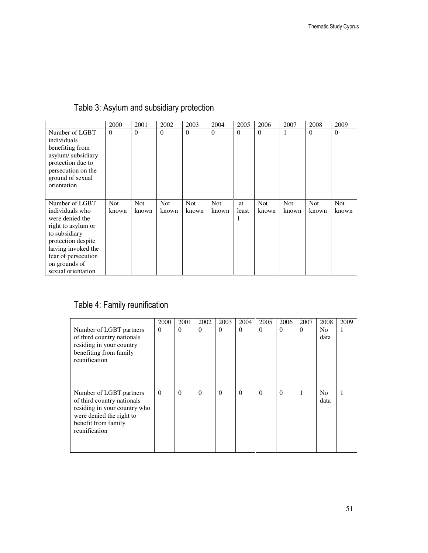| Table 3: Asylum and subsidiary protection |  |  |
|-------------------------------------------|--|--|
|-------------------------------------------|--|--|

|                                                                                                                                                                                                       | 2000                | 2001                | 2002                | 2003          | 2004                | 2005                    | 2006                | 2007                | 2008                | 2009                |
|-------------------------------------------------------------------------------------------------------------------------------------------------------------------------------------------------------|---------------------|---------------------|---------------------|---------------|---------------------|-------------------------|---------------------|---------------------|---------------------|---------------------|
| Number of LGBT<br>individuals<br>benefiting from<br>asylum/subsidiary<br>protection due to<br>persecution on the<br>ground of sexual<br>orientation                                                   | $\theta$            | $\Omega$            | $\theta$            | $\Omega$      | $\overline{0}$      | $\overline{0}$          | $\theta$            | 1                   | $\overline{0}$      | $\theta$            |
| Number of LGBT<br>individuals who<br>were denied the<br>right to asylum or<br>to subsidiary<br>protection despite<br>having invoked the<br>fear of persecution<br>on grounds of<br>sexual orientation | <b>Not</b><br>known | <b>Not</b><br>known | <b>Not</b><br>known | Not.<br>known | <b>Not</b><br>known | <b>at</b><br>least<br>1 | <b>Not</b><br>known | <b>Not</b><br>known | <b>Not</b><br>known | <b>Not</b><br>known |

## Table 4: Family reunification

|                                                                                                                                                           | 2000     | 2001     | 2002     | 2003     | 2004     | 2005     | 2006     | 2007     | 2008                   | 2009 |
|-----------------------------------------------------------------------------------------------------------------------------------------------------------|----------|----------|----------|----------|----------|----------|----------|----------|------------------------|------|
| Number of LGBT partners<br>of third country nationals<br>residing in your country<br>benefiting from family<br>reunification                              | $\Omega$ | $\Omega$ | $\Omega$ | $\theta$ | $\Omega$ | $\Omega$ | $\Omega$ | $\Omega$ | N <sub>o</sub><br>data | 1    |
| Number of LGBT partners<br>of third country nationals<br>residing in your country who<br>were denied the right to<br>benefit from family<br>reunification | $\Omega$ | $\Omega$ | $\Omega$ | $\theta$ | $\Omega$ | $\Omega$ | $\Omega$ | 1        | N <sub>o</sub><br>data | 1    |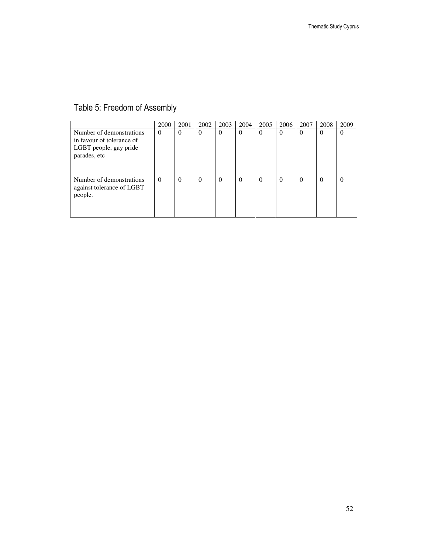### Table 5: Freedom of Assembly

|                                                                                                 | 2000     | 2001     | 2002     | 2003     | 2004     | 2005     | 2006     | 2007     | 2008     | 2009     |
|-------------------------------------------------------------------------------------------------|----------|----------|----------|----------|----------|----------|----------|----------|----------|----------|
| Number of demonstrations<br>in favour of tolerance of<br>LGBT people, gay pride<br>parades, etc | $\Omega$ | $\Omega$ | $\theta$ | $\theta$ | $\Omega$ | $\theta$ | $\Omega$ | $\theta$ | $\theta$ | $\theta$ |
| Number of demonstrations<br>against tolerance of LGBT<br>people.                                | $\Omega$ | $\Omega$ | 0        | $\Omega$ | $\Omega$ | $\Omega$ | 0        | $\Omega$ | $\Omega$ | $\Omega$ |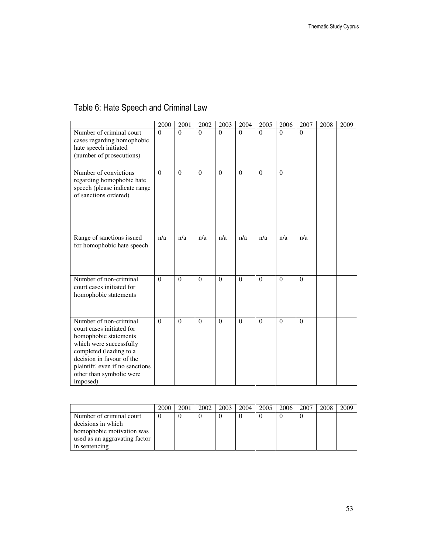### Table 6: Hate Speech and Criminal Law

|                                                                                                                                                                                                                                            | 2000     | 2001     | 2002     | 2003     | 2004     | 2005     | 2006     | 2007     | 2008 | 2009 |
|--------------------------------------------------------------------------------------------------------------------------------------------------------------------------------------------------------------------------------------------|----------|----------|----------|----------|----------|----------|----------|----------|------|------|
| Number of criminal court<br>cases regarding homophobic<br>hate speech initiated<br>(number of prosecutions)                                                                                                                                | $\Omega$ | $\Omega$ | $\Omega$ | $\Omega$ | $\Omega$ | $\theta$ | $\Omega$ | $\theta$ |      |      |
| Number of convictions<br>regarding homophobic hate<br>speech (please indicate range<br>of sanctions ordered)                                                                                                                               | $\Omega$ | $\Omega$ | $\theta$ | $\theta$ | $\Omega$ | $\Omega$ | $\theta$ |          |      |      |
| Range of sanctions issued<br>for homophobic hate speech                                                                                                                                                                                    | n/a      | n/a      | n/a      | n/a      | n/a      | n/a      | n/a      | n/a      |      |      |
| Number of non-criminal<br>court cases initiated for<br>homophobic statements                                                                                                                                                               | $\Omega$ | $\Omega$ | $\theta$ | $\theta$ | $\Omega$ | $\Omega$ | $\theta$ | $\theta$ |      |      |
| Number of non-criminal<br>court cases initiated for<br>homophobic statements<br>which were successfully<br>completed (leading to a<br>decision in favour of the<br>plaintiff, even if no sanctions<br>other than symbolic were<br>imposed) | $\Omega$ | $\Omega$ | $\theta$ | $\Omega$ | $\Omega$ | $\Omega$ | $\Omega$ | $\Omega$ |      |      |

|                               | 2000 | 2001 | 2002 | 2003 | 2004 | 2005 | 2006 | 2007 | 2008 | 2009 |
|-------------------------------|------|------|------|------|------|------|------|------|------|------|
| Number of criminal court      |      |      |      |      |      |      |      |      |      |      |
| decisions in which            |      |      |      |      |      |      |      |      |      |      |
| homophobic motivation was     |      |      |      |      |      |      |      |      |      |      |
| used as an aggravating factor |      |      |      |      |      |      |      |      |      |      |
| in sentencing                 |      |      |      |      |      |      |      |      |      |      |